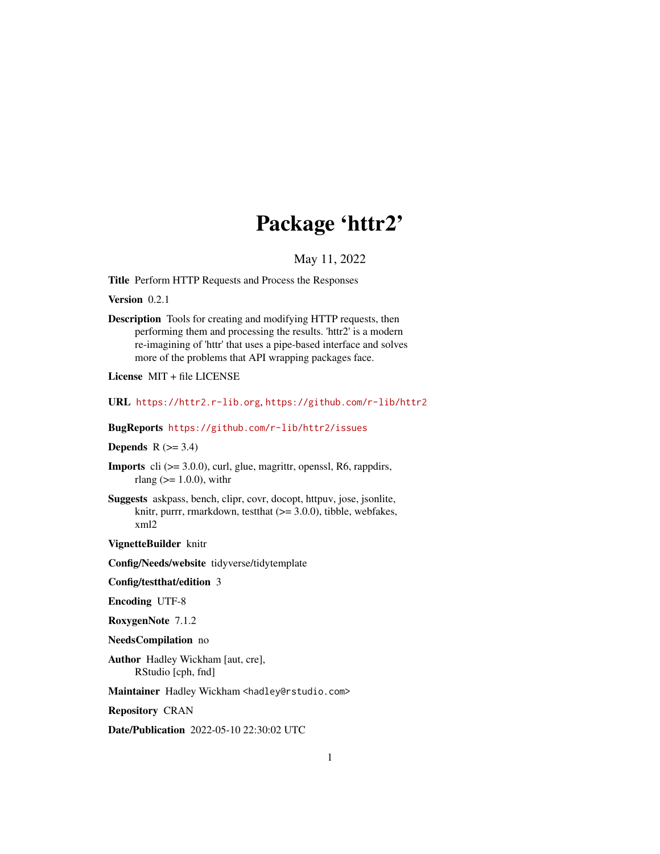# Package 'httr2'

May 11, 2022

<span id="page-0-0"></span>Title Perform HTTP Requests and Process the Responses

Version 0.2.1

Description Tools for creating and modifying HTTP requests, then performing them and processing the results. 'httr2' is a modern re-imagining of 'httr' that uses a pipe-based interface and solves more of the problems that API wrapping packages face.

License MIT + file LICENSE

URL <https://httr2.r-lib.org>, <https://github.com/r-lib/httr2>

BugReports <https://github.com/r-lib/httr2/issues>

Depends  $R$  ( $>= 3.4$ )

- Imports cli (>= 3.0.0), curl, glue, magrittr, openssl, R6, rappdirs, rlang ( $> = 1.0.0$ ), with r
- Suggests askpass, bench, clipr, covr, docopt, httpuv, jose, jsonlite, knitr, purrr, rmarkdown, test that  $(>= 3.0.0)$ , tibble, webfakes, xml2

VignetteBuilder knitr

Config/Needs/website tidyverse/tidytemplate

Config/testthat/edition 3

Encoding UTF-8

RoxygenNote 7.1.2

NeedsCompilation no

Author Hadley Wickham [aut, cre], RStudio [cph, fnd]

Maintainer Hadley Wickham <hadley@rstudio.com>

Repository CRAN

Date/Publication 2022-05-10 22:30:02 UTC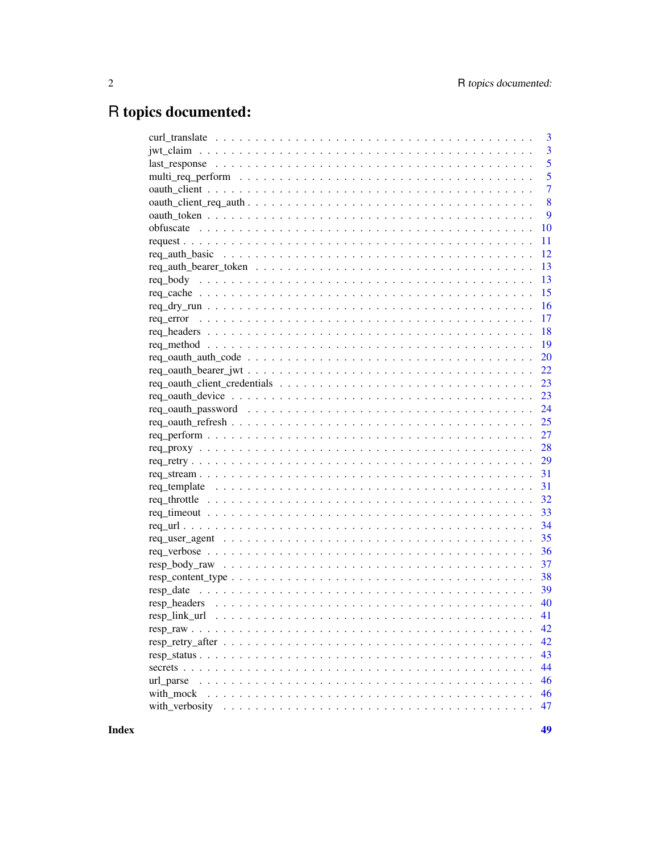# R topics documented:

|                                                                                                               | 3              |
|---------------------------------------------------------------------------------------------------------------|----------------|
|                                                                                                               | 3              |
|                                                                                                               | 5              |
|                                                                                                               | 5              |
|                                                                                                               | $\overline{7}$ |
|                                                                                                               | 8              |
|                                                                                                               | 9              |
|                                                                                                               | 10             |
|                                                                                                               | 11             |
|                                                                                                               | 12             |
| $req\_auth_bearer\_token \dots \dots \dots \dots \dots \dots \dots \dots \dots \dots \dots \dots \dots \dots$ | 13             |
|                                                                                                               | 13             |
|                                                                                                               | 15             |
|                                                                                                               | 16             |
|                                                                                                               | 17             |
|                                                                                                               | 18             |
|                                                                                                               | 19             |
|                                                                                                               | 20             |
|                                                                                                               | 22             |
|                                                                                                               | 23             |
|                                                                                                               | 23             |
|                                                                                                               | 24             |
|                                                                                                               | 25             |
|                                                                                                               | 27             |
|                                                                                                               | 28             |
|                                                                                                               | 29             |
|                                                                                                               | 31             |
|                                                                                                               | 31             |
|                                                                                                               | 32             |
|                                                                                                               | 33             |
|                                                                                                               | 34             |
|                                                                                                               | 35             |
|                                                                                                               | 36             |
| $resp\_body\_raw \dots \dots \dots \dots \dots \dots \dots \dots \dots \dots \dots \dots \dots \dots \dots$   | 37             |
| $resp\_content\_type \ldots \ldots \ldots \ldots \ldots \ldots \ldots \ldots \ldots \ldots \ldots \ldots$     | 38             |
|                                                                                                               | 39             |
|                                                                                                               | 40             |
|                                                                                                               |                |
|                                                                                                               | 42             |
|                                                                                                               | 42             |
|                                                                                                               | 43             |
|                                                                                                               | 44             |
|                                                                                                               |                |
| url_parse                                                                                                     | 46             |
| with_mock                                                                                                     | 46             |
|                                                                                                               | 47             |

**Index**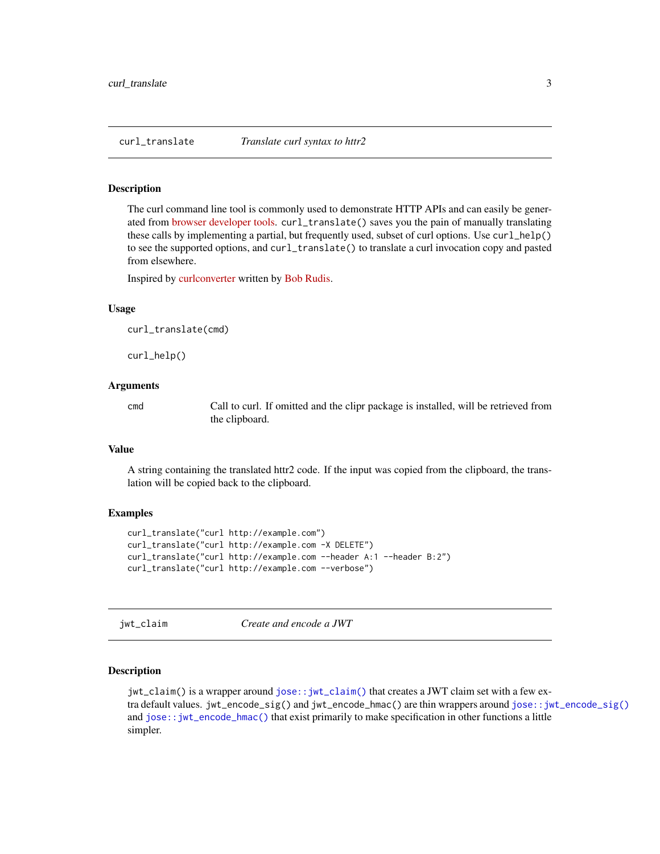<span id="page-2-0"></span>

The curl command line tool is commonly used to demonstrate HTTP APIs and can easily be generated from [browser developer tools.](https://everything.curl.dev/usingcurl/copyas) curl\_translate() saves you the pain of manually translating these calls by implementing a partial, but frequently used, subset of curl options. Use curl\_help() to see the supported options, and curl\_translate() to translate a curl invocation copy and pasted from elsewhere.

Inspired by [curlconverter](https://github.com/hrbrmstr/curlconverter) written by [Bob Rudis.](https://rud.is/b/)

#### Usage

curl\_translate(cmd)

curl\_help()

# Arguments

cmd Call to curl. If omitted and the clipr package is installed, will be retrieved from the clipboard.

#### Value

A string containing the translated httr2 code. If the input was copied from the clipboard, the translation will be copied back to the clipboard.

# Examples

```
curl_translate("curl http://example.com")
curl_translate("curl http://example.com -X DELETE")
curl_translate("curl http://example.com --header A:1 --header B:2")
curl_translate("curl http://example.com --verbose")
```
<span id="page-2-1"></span>jwt\_claim *Create and encode a JWT*

#### <span id="page-2-2"></span>Description

jwt\_claim() is a wrapper around [jose::jwt\\_claim\(\)](#page-0-0) that creates a JWT claim set with a few extra default values. jwt\_encode\_sig() and jwt\_encode\_hmac() are thin wrappers around [jose::jwt\\_encode\\_sig\(\)](#page-0-0) and [jose::jwt\\_encode\\_hmac\(\)](#page-0-0) that exist primarily to make specification in other functions a little simpler.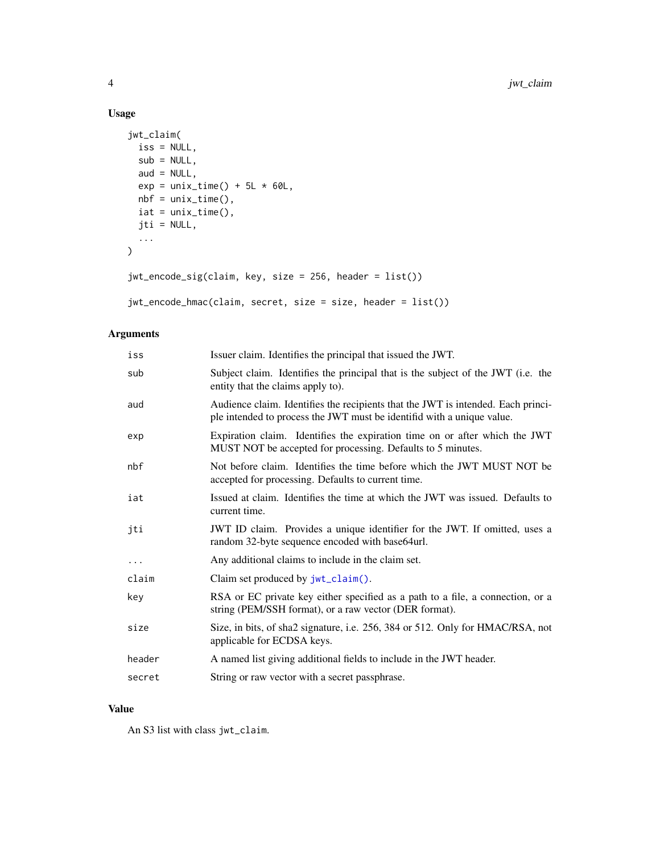# Usage

```
jwt_claim(
 iss = NULL,sub = NULL,aud = NULL,exp = unix_time() + 5L * 60L,nbf = unix_time(),iat = unix_time(),jti = NULL,
  ...
\mathcal{L}jwt_encode_sig(claim, key, size = 256, header = list())
```

```
jwt_encode_hmac(claim, secret, size = size, header = list())
```
# Arguments

| iss      | Issuer claim. Identifies the principal that issued the JWT.                                                                                                |
|----------|------------------------------------------------------------------------------------------------------------------------------------------------------------|
| sub      | Subject claim. Identifies the principal that is the subject of the JWT (i.e. the<br>entity that the claims apply to).                                      |
| aud      | Audience claim. Identifies the recipients that the JWT is intended. Each princi-<br>ple intended to process the JWT must be identifid with a unique value. |
| exp      | Expiration claim. Identifies the expiration time on or after which the JWT<br>MUST NOT be accepted for processing. Defaults to 5 minutes.                  |
| nbf      | Not before claim. Identifies the time before which the JWT MUST NOT be<br>accepted for processing. Defaults to current time.                               |
| iat      | Issued at claim. Identifies the time at which the JWT was issued. Defaults to<br>current time.                                                             |
| jti      | JWT ID claim. Provides a unique identifier for the JWT. If omitted, uses a<br>random 32-byte sequence encoded with base64url.                              |
| $\ddots$ | Any additional claims to include in the claim set.                                                                                                         |
| claim    | Claim set produced by jwt_claim().                                                                                                                         |
| key      | RSA or EC private key either specified as a path to a file, a connection, or a<br>string (PEM/SSH format), or a raw vector (DER format).                   |
| size     | Size, in bits, of sha2 signature, i.e. 256, 384 or 512. Only for HMAC/RSA, not<br>applicable for ECDSA keys.                                               |
| header   | A named list giving additional fields to include in the JWT header.                                                                                        |
| secret   | String or raw vector with a secret passphrase.                                                                                                             |

# Value

An S3 list with class jwt\_claim.

<span id="page-3-0"></span>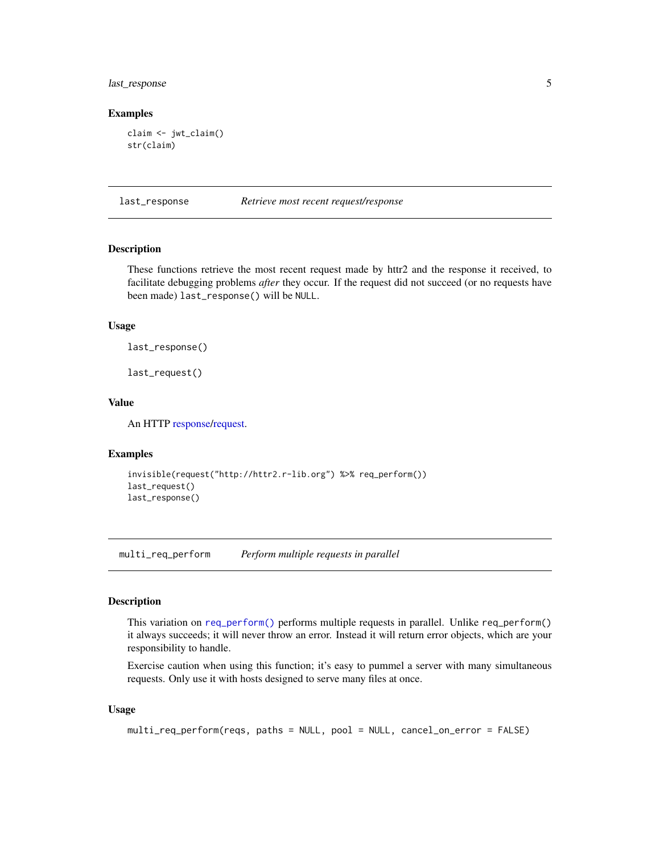# <span id="page-4-0"></span>last\_response 5

#### Examples

```
claim <- jwt_claim()
str(claim)
```
last\_response *Retrieve most recent request/response*

# **Description**

These functions retrieve the most recent request made by httr2 and the response it received, to facilitate debugging problems *after* they occur. If the request did not succeed (or no requests have been made) last\_response() will be NULL.

# Usage

last\_response()

last\_request()

# Value

An HTTP [response](#page-0-0)[/request.](#page-10-1)

#### Examples

```
invisible(request("http://httr2.r-lib.org") %>% req_perform())
last_request()
last_response()
```
multi\_req\_perform *Perform multiple requests in parallel*

# Description

This variation on [req\\_perform\(\)](#page-26-1) performs multiple requests in parallel. Unlike req\_perform() it always succeeds; it will never throw an error. Instead it will return error objects, which are your responsibility to handle.

Exercise caution when using this function; it's easy to pummel a server with many simultaneous requests. Only use it with hosts designed to serve many files at once.

#### Usage

```
multi_req_perform(reqs, paths = NULL, pool = NULL, cancel_on_error = FALSE)
```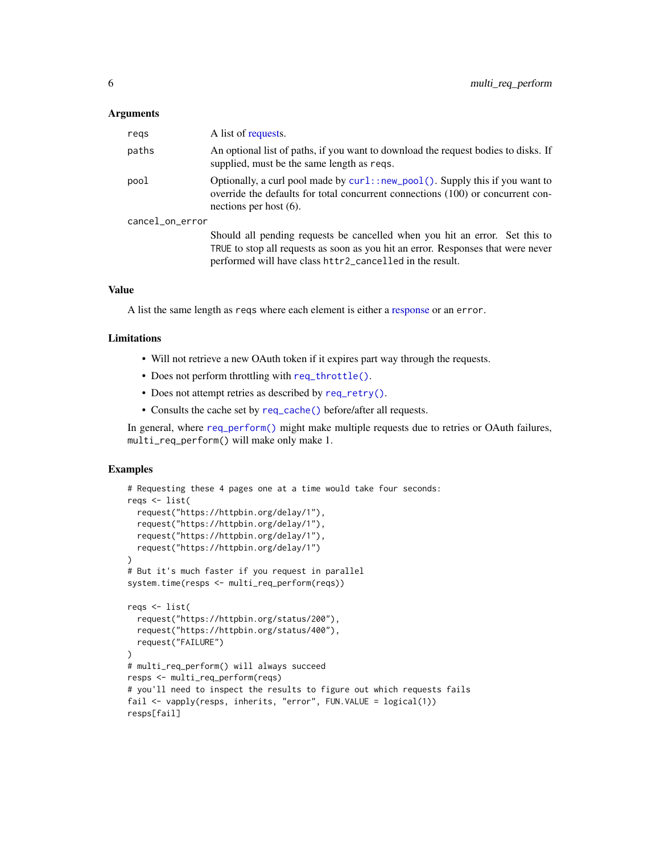#### <span id="page-5-0"></span>**Arguments**

| regs            | A list of requests.                                                                                                                                                                                                         |
|-----------------|-----------------------------------------------------------------------------------------------------------------------------------------------------------------------------------------------------------------------------|
| paths           | An optional list of paths, if you want to download the request bodies to disks. If<br>supplied, must be the same length as reqs.                                                                                            |
| pool            | Optionally, a curl pool made by $curl$ : new_pool(). Supply this if you want to<br>override the defaults for total concurrent connections (100) or concurrent con-<br>nections per host $(6)$ .                             |
| cancel_on_error |                                                                                                                                                                                                                             |
|                 | Should all pending requests be cancelled when you hit an error. Set this to<br>TRUE to stop all requests as soon as you hit an error. Responses that were never<br>performed will have class httr2_cancelled in the result. |

#### Value

A list the same length as reqs where each element is either a [response](#page-0-0) or an error.

#### Limitations

- Will not retrieve a new OAuth token if it expires part way through the requests.
- Does not perform throttling with [req\\_throttle\(\)](#page-31-1).
- Does not attempt retries as described by [req\\_retry\(\)](#page-28-1).
- Consults the cache set by [req\\_cache\(\)](#page-14-1) before/after all requests.

In general, where [req\\_perform\(\)](#page-26-1) might make multiple requests due to retries or OAuth failures, multi\_req\_perform() will make only make 1.

```
# Requesting these 4 pages one at a time would take four seconds:
reqs <- list(
 request("https://httpbin.org/delay/1"),
 request("https://httpbin.org/delay/1"),
 request("https://httpbin.org/delay/1"),
 request("https://httpbin.org/delay/1")
)
# But it's much faster if you request in parallel
system.time(resps <- multi_req_perform(reqs))
reqs <- list(
 request("https://httpbin.org/status/200"),
 request("https://httpbin.org/status/400"),
 request("FAILURE")
)
# multi_req_perform() will always succeed
resps <- multi_req_perform(reqs)
# you'll need to inspect the results to figure out which requests fails
fail <- vapply(resps, inherits, "error", FUN.VALUE = logical(1))
resps[fail]
```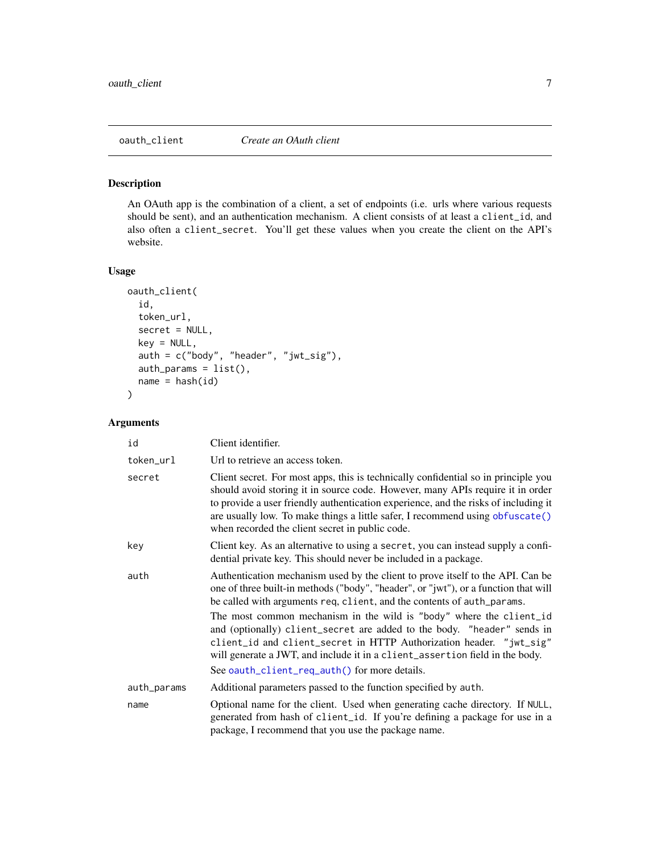<span id="page-6-1"></span><span id="page-6-0"></span>

An OAuth app is the combination of a client, a set of endpoints (i.e. urls where various requests should be sent), and an authentication mechanism. A client consists of at least a client\_id, and also often a client\_secret. You'll get these values when you create the client on the API's website.

#### Usage

```
oauth_client(
  id,
  token_url,
  secret = NULL,
  key = NULL,
  auth = c("body", "header", "jwt_sig"),
  auth_params = list(),
  name = hash(id))
```
#### Arguments

| id          | Client identifier.                                                                                                                                                                                                                                                                                                                                                                              |
|-------------|-------------------------------------------------------------------------------------------------------------------------------------------------------------------------------------------------------------------------------------------------------------------------------------------------------------------------------------------------------------------------------------------------|
| token_url   | Url to retrieve an access token.                                                                                                                                                                                                                                                                                                                                                                |
| secret      | Client secret. For most apps, this is technically confidential so in principle you<br>should avoid storing it in source code. However, many APIs require it in order<br>to provide a user friendly authentication experience, and the risks of including it<br>are usually low. To make things a little safer, I recommend using obfuscate()<br>when recorded the client secret in public code. |
| key         | Client key. As an alternative to using a secret, you can instead supply a confi-<br>dential private key. This should never be included in a package.                                                                                                                                                                                                                                            |
| auth        | Authentication mechanism used by the client to prove itself to the API. Can be<br>one of three built-in methods ("body", "header", or "jwt"), or a function that will<br>be called with arguments req, client, and the contents of auth_params.                                                                                                                                                 |
|             | The most common mechanism in the wild is "body" where the client_id<br>and (optionally) client_secret are added to the body. "header" sends in<br>client_id and client_secret in HTTP Authorization header. "jwt_sig"<br>will generate a JWT, and include it in a client_assertion field in the body.                                                                                           |
|             | See oauth_client_req_auth() for more details.                                                                                                                                                                                                                                                                                                                                                   |
| auth_params | Additional parameters passed to the function specified by auth.                                                                                                                                                                                                                                                                                                                                 |
| name        | Optional name for the client. Used when generating cache directory. If NULL,<br>generated from hash of client_id. If you're defining a package for use in a<br>package, I recommend that you use the package name.                                                                                                                                                                              |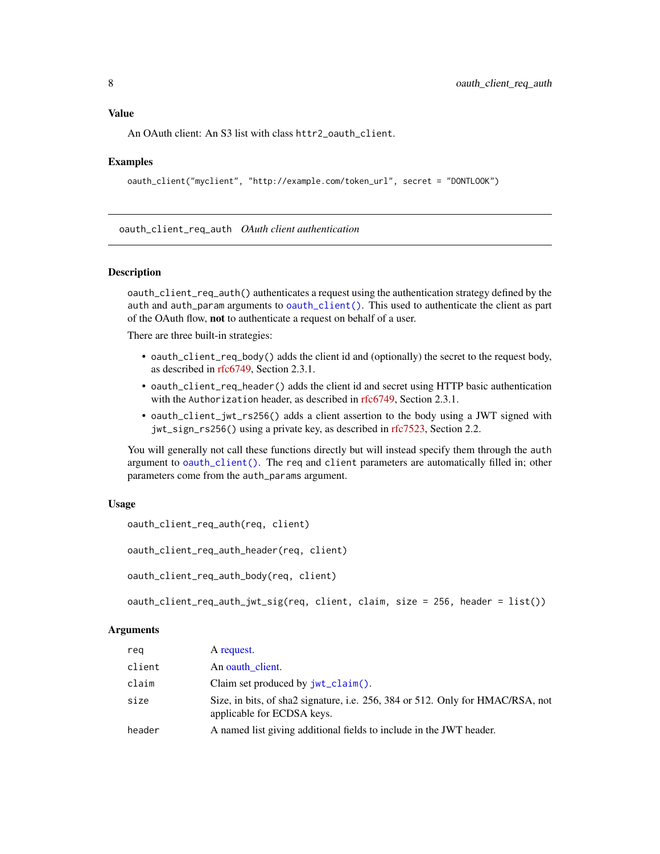# <span id="page-7-0"></span>Value

An OAuth client: An S3 list with class httr2\_oauth\_client.

# Examples

```
oauth_client("myclient", "http://example.com/token_url", secret = "DONTLOOK")
```
<span id="page-7-1"></span>oauth\_client\_req\_auth *OAuth client authentication*

#### Description

oauth\_client\_req\_auth() authenticates a request using the authentication strategy defined by the auth and auth\_param arguments to [oauth\\_client\(\)](#page-6-1). This used to authenticate the client as part of the OAuth flow, not to authenticate a request on behalf of a user.

There are three built-in strategies:

- oauth\_client\_req\_body() adds the client id and (optionally) the secret to the request body, as described in [rfc6749,](https://datatracker.ietf.org/doc/html/rfc6749#section-2.3.1) Section 2.3.1.
- oauth\_client\_req\_header() adds the client id and secret using HTTP basic authentication with the Authorization header, as described in [rfc6749,](https://datatracker.ietf.org/doc/html/rfc6749#section-2.3.1) Section 2.3.1.
- oauth\_client\_jwt\_rs256() adds a client assertion to the body using a JWT signed with jwt\_sign\_rs256() using a private key, as described in [rfc7523,](https://datatracker.ietf.org/doc/html/rfc7523#section-2.2) Section 2.2.

You will generally not call these functions directly but will instead specify them through the auth argument to [oauth\\_client\(\)](#page-6-1). The req and client parameters are automatically filled in; other parameters come from the auth\_params argument.

#### Usage

```
oauth_client_req_auth(req, client)
```
oauth\_client\_req\_auth\_header(req, client)

oauth\_client\_req\_auth\_body(req, client)

oauth\_client\_req\_auth\_jwt\_sig(req, client, claim, size = 256, header = list())

#### **Arguments**

| reg    | A request.                                                                                                   |
|--------|--------------------------------------------------------------------------------------------------------------|
| client | An oauth client.                                                                                             |
| claim  | Claim set produced by $jwt$ _claim().                                                                        |
| size   | Size, in bits, of sha2 signature, i.e. 256, 384 or 512. Only for HMAC/RSA, not<br>applicable for ECDSA keys. |
| header | A named list giving additional fields to include in the JWT header.                                          |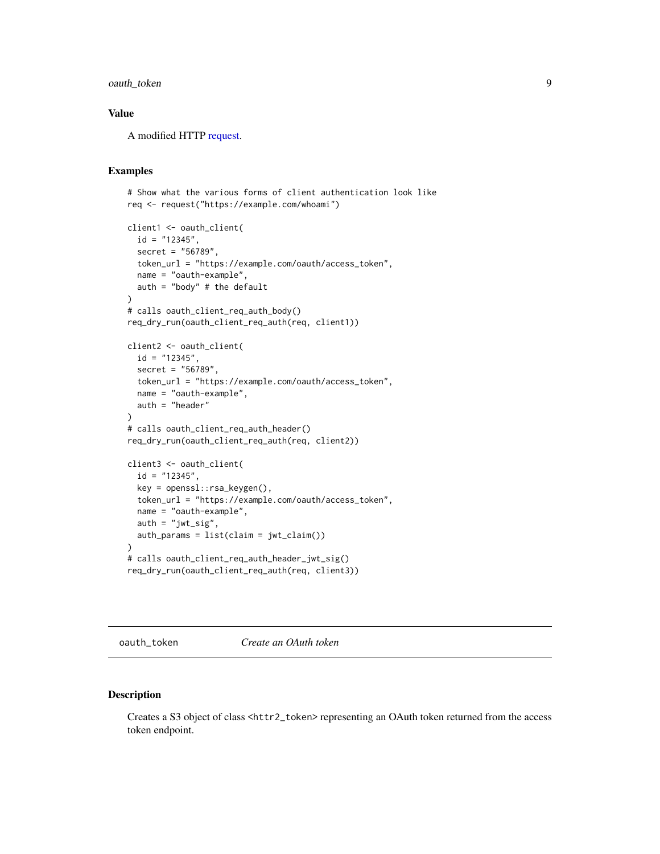# <span id="page-8-0"></span>oauth\_token 9

# Value

A modified HTTP [request.](#page-10-1)

# Examples

```
# Show what the various forms of client authentication look like
req <- request("https://example.com/whoami")
```

```
client1 <- oauth_client(
  id = "12345",secret = "56789",
  token_url = "https://example.com/oauth/access_token",
 name = "oauth-example",
  auth = "body" # the default
\lambda# calls oauth_client_req_auth_body()
req_dry_run(oauth_client_req_auth(req, client1))
client2 <- oauth_client(
  id = "12345",secret = "56789",
  token_url = "https://example.com/oauth/access_token",
  name = "oauth-example",
  auth = "header"
)
# calls oauth_client_req_auth_header()
req_dry_run(oauth_client_req_auth(req, client2))
client3 <- oauth_client(
  id = "12345",key = openssl::rsa_keygen(),
  token_url = "https://example.com/oauth/access_token",
  name = "oauth-example",
  auth = "jwt_size",auth\_params = list(claim = jwt_claim()))
# calls oauth_client_req_auth_header_jwt_sig()
req_dry_run(oauth_client_req_auth(req, client3))
```
oauth\_token *Create an OAuth token*

#### Description

Creates a S3 object of class <httr2\_token> representing an OAuth token returned from the access token endpoint.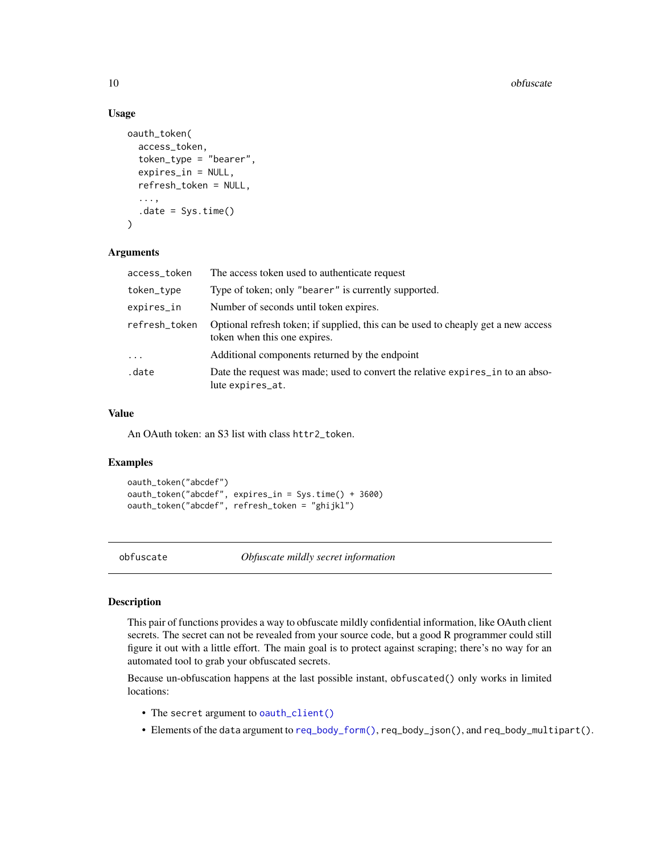# Usage

```
oauth_token(
  access_token,
  token_type = "bearer",
  expires_in = NULL,
  refresh_token = NULL,
  ...,
  .date = Sys.time()
\lambda
```
#### Arguments

| access_token  | The access token used to authenticate request                                                                     |
|---------------|-------------------------------------------------------------------------------------------------------------------|
| token_type    | Type of token; only "bearer" is currently supported.                                                              |
| expires_in    | Number of seconds until token expires.                                                                            |
| refresh_token | Optional refresh token; if supplied, this can be used to cheaply get a new access<br>token when this one expires. |
| $\cdot$       | Additional components returned by the endpoint                                                                    |
| .date         | Date the request was made; used to convert the relative expires in to an abso-<br>lute expires_at.                |

# Value

An OAuth token: an S3 list with class httr2\_token.

# Examples

```
oauth_token("abcdef")
oauth_token("abcdef", expires_in = Sys.time() + 3600)
oauth_token("abcdef", refresh_token = "ghijkl")
```
<span id="page-9-1"></span>obfuscate *Obfuscate mildly secret information*

#### Description

This pair of functions provides a way to obfuscate mildly confidential information, like OAuth client secrets. The secret can not be revealed from your source code, but a good R programmer could still figure it out with a little effort. The main goal is to protect against scraping; there's no way for an automated tool to grab your obfuscated secrets.

Because un-obfuscation happens at the last possible instant, obfuscated() only works in limited locations:

- The secret argument to [oauth\\_client\(\)](#page-6-1)
- Elements of the data argument to [req\\_body\\_form\(\)](#page-12-1), req\_body\_json(), and req\_body\_multipart().

<span id="page-9-0"></span>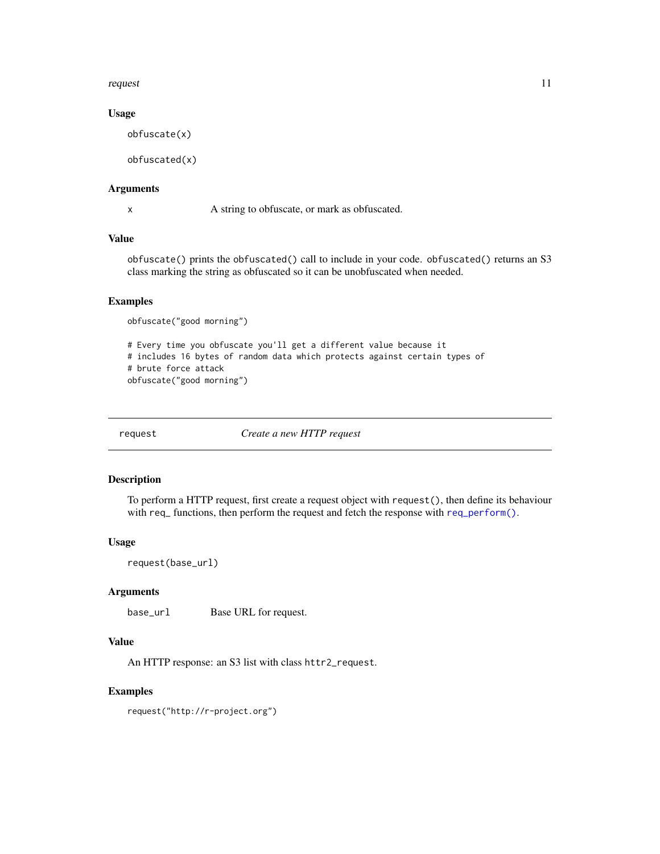#### <span id="page-10-0"></span>request that the contract of the contract of the contract of the contract of the contract of the contract of the contract of the contract of the contract of the contract of the contract of the contract of the contract of t

# Usage

obfuscate(x)

obfuscated(x)

# Arguments

x A string to obfuscate, or mark as obfuscated.

# Value

obfuscate() prints the obfuscated() call to include in your code. obfuscated() returns an S3 class marking the string as obfuscated so it can be unobfuscated when needed.

# Examples

obfuscate("good morning")

```
# Every time you obfuscate you'll get a different value because it
# includes 16 bytes of random data which protects against certain types of
# brute force attack
obfuscate("good morning")
```
<span id="page-10-1"></span>request *Create a new HTTP request*

# Description

To perform a HTTP request, first create a request object with request(), then define its behaviour with req<sub>-</sub> functions, then perform the request and fetch the response with req-perform().

#### Usage

request(base\_url)

#### Arguments

base\_url Base URL for request.

# Value

An HTTP response: an S3 list with class httr2\_request.

#### Examples

request("http://r-project.org")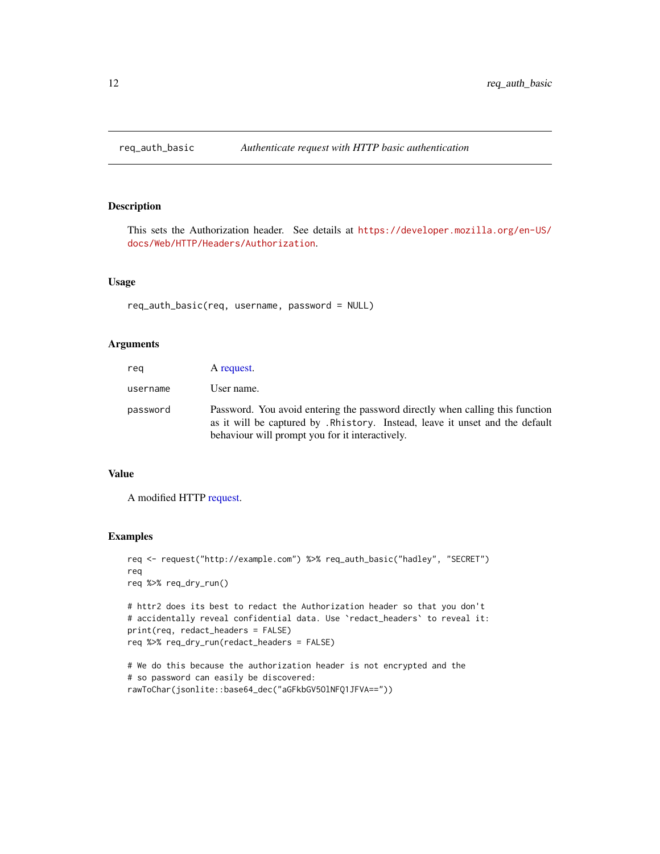<span id="page-11-0"></span>

This sets the Authorization header. See details at [https://developer.mozilla.org/en-US/](https://developer.mozilla.org/en-US/docs/Web/HTTP/Headers/Authorization) [docs/Web/HTTP/Headers/Authorization](https://developer.mozilla.org/en-US/docs/Web/HTTP/Headers/Authorization).

#### Usage

```
req_auth_basic(req, username, password = NULL)
```
# Arguments

| reg      | A request.                                                                                                                                                                                                        |
|----------|-------------------------------------------------------------------------------------------------------------------------------------------------------------------------------------------------------------------|
| username | User name.                                                                                                                                                                                                        |
| password | Password. You avoid entering the password directly when calling this function<br>as it will be captured by . Rhistory. Instead, leave it unset and the default<br>behaviour will prompt you for it interactively. |

#### Value

A modified HTTP [request.](#page-10-1)

```
req <- request("http://example.com") %>% req_auth_basic("hadley", "SECRET")
req
req %>% req_dry_run()
# httr2 does its best to redact the Authorization header so that you don't
# accidentally reveal confidential data. Use `redact_headers` to reveal it:
print(req, redact_headers = FALSE)
req %>% req_dry_run(redact_headers = FALSE)
# We do this because the authorization header is not encrypted and the
# so password can easily be discovered:
```

```
rawToChar(jsonlite::base64_dec("aGFkbGV5OlNFQ1JFVA=="))
```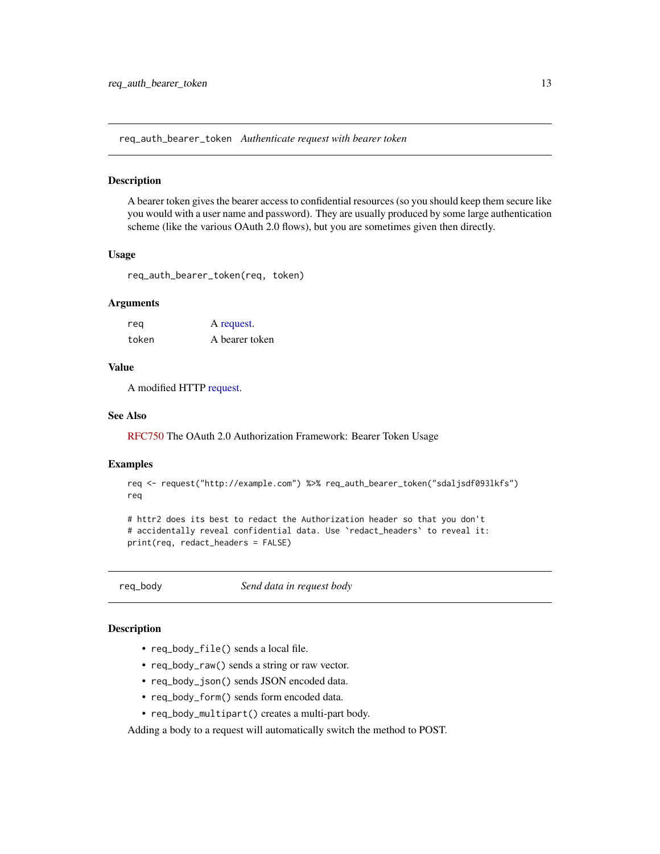<span id="page-12-2"></span><span id="page-12-0"></span>req\_auth\_bearer\_token *Authenticate request with bearer token*

#### Description

A bearer token gives the bearer access to confidential resources (so you should keep them secure like you would with a user name and password). They are usually produced by some large authentication scheme (like the various OAuth 2.0 flows), but you are sometimes given then directly.

#### Usage

req\_auth\_bearer\_token(req, token)

#### Arguments

| reg   | A request.     |
|-------|----------------|
| token | A bearer token |

# Value

A modified HTTP [request.](#page-10-1)

# See Also

[RFC750](https://datatracker.ietf.org/doc/html/rfc6750) The OAuth 2.0 Authorization Framework: Bearer Token Usage

#### Examples

```
req <- request("http://example.com") %>% req_auth_bearer_token("sdaljsdf093lkfs")
req
```

```
# httr2 does its best to redact the Authorization header so that you don't
# accidentally reveal confidential data. Use `redact_headers` to reveal it:
print(req, redact_headers = FALSE)
```
req\_body *Send data in request body*

# <span id="page-12-1"></span>Description

- req\_body\_file() sends a local file.
- req\_body\_raw() sends a string or raw vector.
- req\_body\_json() sends JSON encoded data.
- req\_body\_form() sends form encoded data.
- req\_body\_multipart() creates a multi-part body.

Adding a body to a request will automatically switch the method to POST.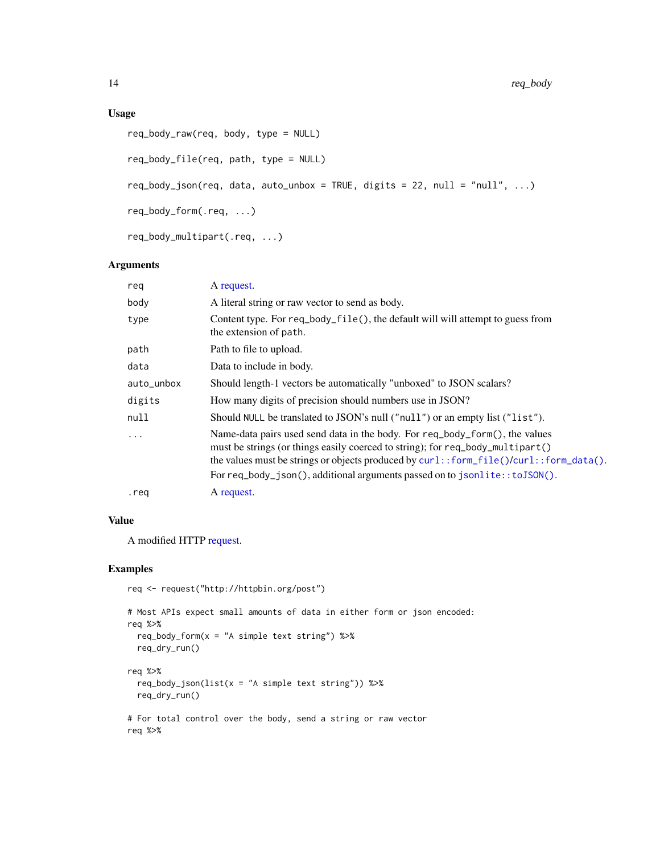# <span id="page-13-0"></span>Usage

```
req_body_raw(req, body, type = NULL)
req_body_file(req, path, type = NULL)
req\_body\_json(req, data, auto\_unbox = TRUE, digits = 22, null = "null", ...)req_body_form(.req, ...)
req_body_multipart(.req, ...)
```
#### Arguments

| reg        | A request.                                                                                                                                                                                                                                              |
|------------|---------------------------------------------------------------------------------------------------------------------------------------------------------------------------------------------------------------------------------------------------------|
| body       | A literal string or raw vector to send as body.                                                                                                                                                                                                         |
| type       | Content type. For req_body_file(), the default will will attempt to guess from<br>the extension of path.                                                                                                                                                |
| path       | Path to file to upload.                                                                                                                                                                                                                                 |
| data       | Data to include in body.                                                                                                                                                                                                                                |
| auto_unbox | Should length-1 vectors be automatically "unboxed" to JSON scalars?                                                                                                                                                                                     |
| digits     | How many digits of precision should numbers use in JSON?                                                                                                                                                                                                |
| null       | Should NULL be translated to JSON's null ("null") or an empty list ("list").                                                                                                                                                                            |
| $\cdots$   | Name-data pairs used send data in the body. For req_body_form(), the values<br>must be strings (or things easily coerced to string); for req_body_multipart()<br>the values must be strings or objects produced by curl::form_file()/curl::form_data(). |
|            | For req_body_json(), additional arguments passed on to json lite:: $to$ JSON().                                                                                                                                                                         |
| .req       | A request.                                                                                                                                                                                                                                              |

# Value

A modified HTTP [request.](#page-10-1)

```
req <- request("http://httpbin.org/post")
```

```
# Most APIs expect small amounts of data in either form or json encoded:
req %>%
  req_body_form(x = "A simple text string") %>%
  req_dry_run()
req %>%
  req\_body\_json(list(x = "A simple text string")) %>%
  req_dry_run()
# For total control over the body, send a string or raw vector
req %>%
```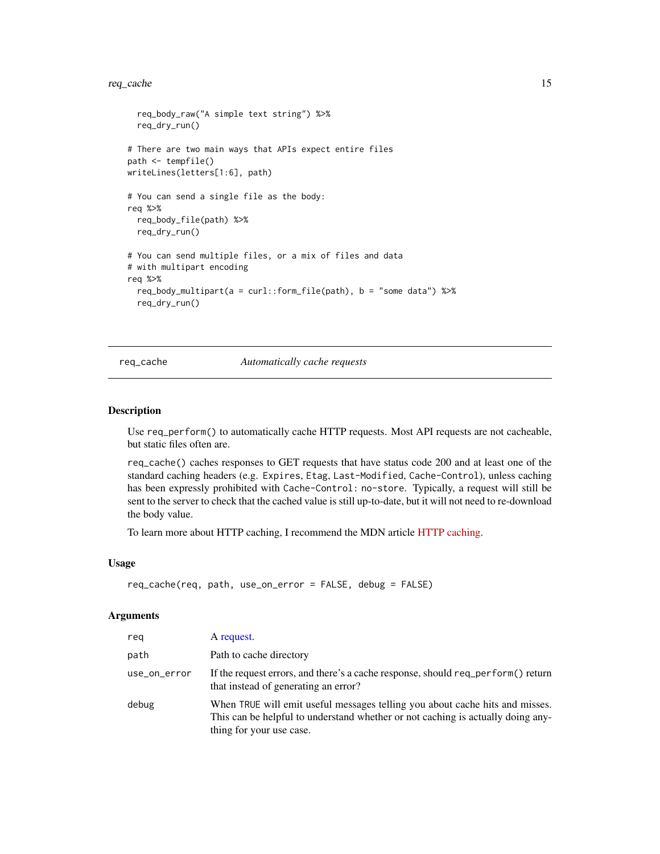#### <span id="page-14-0"></span>req\_cache 15

```
req_body_raw("A simple text string") %>%
 req_dry_run()
# There are two main ways that APIs expect entire files
path <- tempfile()
writeLines(letters[1:6], path)
# You can send a single file as the body:
req %>%
 req_body_file(path) %>%
 req_dry_run()
# You can send multiple files, or a mix of files and data
# with multipart encoding
req %>%
 req_body_multipart(a = curl::form_file(path), b = "some data") %>%
 req_dry_run()
```
<span id="page-14-1"></span>req\_cache *Automatically cache requests*

# Description

Use req\_perform() to automatically cache HTTP requests. Most API requests are not cacheable, but static files often are.

req\_cache() caches responses to GET requests that have status code 200 and at least one of the standard caching headers (e.g. Expires, Etag, Last-Modified, Cache-Control), unless caching has been expressly prohibited with Cache-Control: no-store. Typically, a request will still be sent to the server to check that the cached value is still up-to-date, but it will not need to re-download the body value.

To learn more about HTTP caching, I recommend the MDN article [HTTP caching.](https://developer.mozilla.org/en-US/docs/Web/HTTP/Caching)

#### Usage

```
req_cache(req, path, use_on_error = FALSE, debug = FALSE)
```
#### Arguments

| rea          | A request.                                                                                                                                                                                  |
|--------------|---------------------------------------------------------------------------------------------------------------------------------------------------------------------------------------------|
| path         | Path to cache directory                                                                                                                                                                     |
| use_on_error | If the request errors, and there's a cache response, should req_perform() return<br>that instead of generating an error?                                                                    |
| debug        | When TRUE will emit useful messages telling you about cache hits and misses.<br>This can be helpful to understand whether or not caching is actually doing any-<br>thing for your use case. |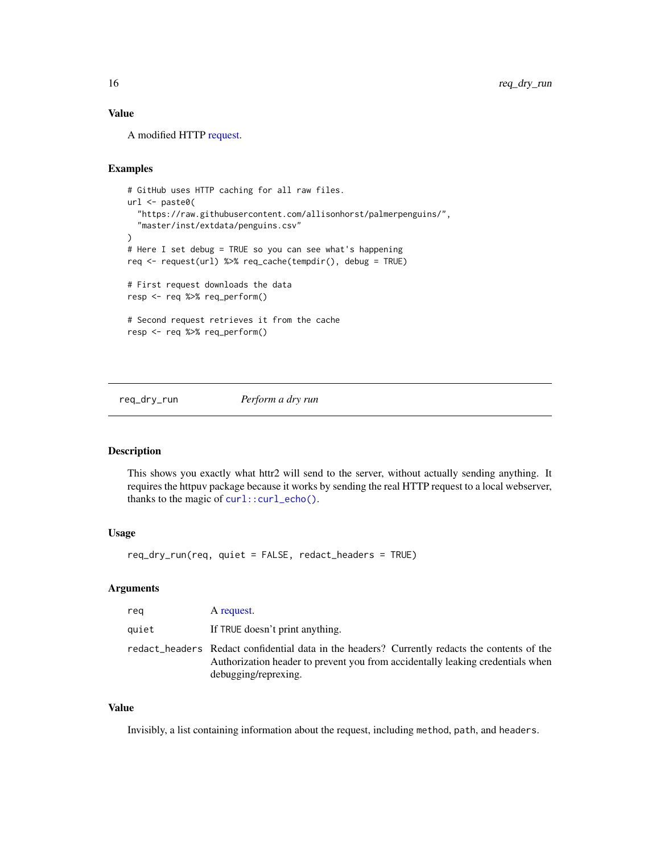# <span id="page-15-0"></span>Value

A modified HTTP [request.](#page-10-1)

# Examples

```
# GitHub uses HTTP caching for all raw files.
url <- paste0(
  "https://raw.githubusercontent.com/allisonhorst/palmerpenguins/",
  "master/inst/extdata/penguins.csv"
)
# Here I set debug = TRUE so you can see what's happening
req <- request(url) %>% req_cache(tempdir(), debug = TRUE)
# First request downloads the data
resp <- req %>% req_perform()
# Second request retrieves it from the cache
resp <- req %>% req_perform()
```
req\_dry\_run *Perform a dry run*

# Description

This shows you exactly what httr2 will send to the server, without actually sending anything. It requires the httpuv package because it works by sending the real HTTP request to a local webserver, thanks to the magic of  $curl::curl\_echo()$ .

### Usage

req\_dry\_run(req, quiet = FALSE, redact\_headers = TRUE)

#### Arguments

| reg   | A request.                                                                                                                                                                                              |
|-------|---------------------------------------------------------------------------------------------------------------------------------------------------------------------------------------------------------|
| quiet | If TRUE doesn't print anything.                                                                                                                                                                         |
|       | redact_headers Redact confidential data in the headers? Currently redacts the contents of the<br>Authorization header to prevent you from accidentally leaking credentials when<br>debugging/reprexing. |

#### Value

Invisibly, a list containing information about the request, including method, path, and headers.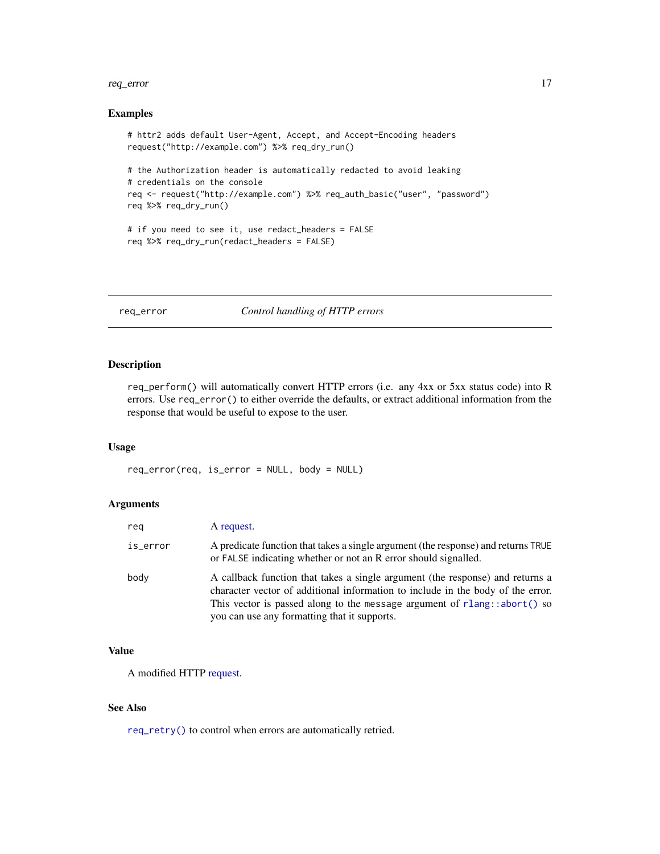#### <span id="page-16-0"></span>req\_error 17

# Examples

```
# httr2 adds default User-Agent, Accept, and Accept-Encoding headers
request("http://example.com") %>% req_dry_run()
# the Authorization header is automatically redacted to avoid leaking
# credentials on the console
req <- request("http://example.com") %>% req_auth_basic("user", "password")
req %>% req_dry_run()
# if you need to see it, use redact_headers = FALSE
req %>% req_dry_run(redact_headers = FALSE)
```
<span id="page-16-1"></span>req\_error *Control handling of HTTP errors*

#### Description

req\_perform() will automatically convert HTTP errors (i.e. any 4xx or 5xx status code) into R errors. Use req\_error() to either override the defaults, or extract additional information from the response that would be useful to expose to the user.

#### Usage

req\_error(req, is\_error = NULL, body = NULL)

# Arguments

| reg      | A request.                                                                                                                                                                                                                                                                                     |
|----------|------------------------------------------------------------------------------------------------------------------------------------------------------------------------------------------------------------------------------------------------------------------------------------------------|
| is_error | A predicate function that takes a single argument (the response) and returns TRUE<br>or FALSE indicating whether or not an R error should signalled.                                                                                                                                           |
| body     | A callback function that takes a single argument (the response) and returns a<br>character vector of additional information to include in the body of the error.<br>This vector is passed along to the message argument of $rlang::abort()$ so<br>you can use any formatting that it supports. |

#### Value

A modified HTTP [request.](#page-10-1)

# See Also

[req\\_retry\(\)](#page-28-1) to control when errors are automatically retried.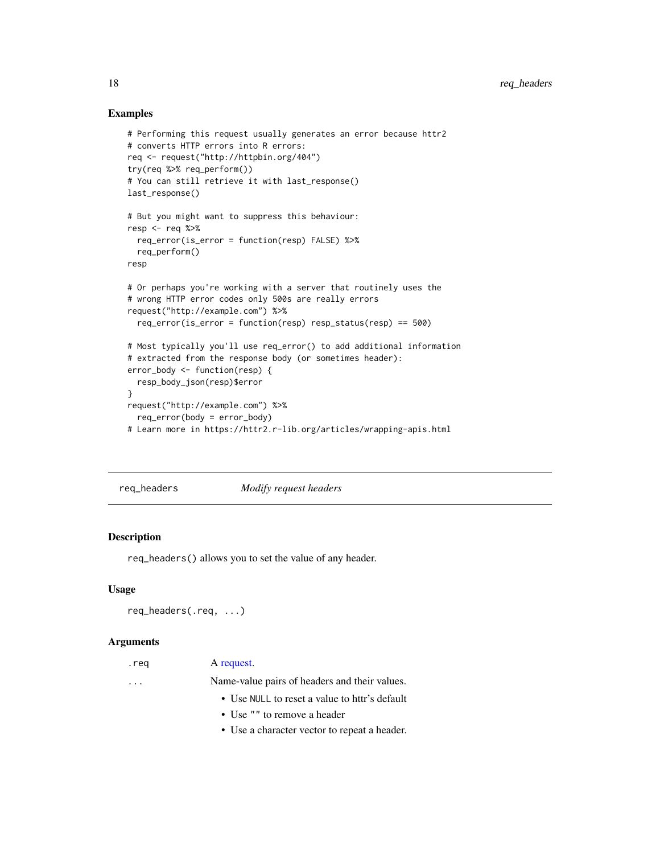# <span id="page-17-0"></span>Examples

```
# Performing this request usually generates an error because httr2
# converts HTTP errors into R errors:
req <- request("http://httpbin.org/404")
try(req %>% req_perform())
# You can still retrieve it with last_response()
last_response()
# But you might want to suppress this behaviour:
resp <- req %>%
  req_error(is_error = function(resp) FALSE) %>%
  req_perform()
resp
# Or perhaps you're working with a server that routinely uses the
# wrong HTTP error codes only 500s are really errors
request("http://example.com") %>%
  req_error(is_error = function(resp) resp_status(resp) == 500)
# Most typically you'll use req_error() to add additional information
# extracted from the response body (or sometimes header):
error_body <- function(resp) {
  resp_body_json(resp)$error
}
request("http://example.com") %>%
  req_error(body = error_body)
# Learn more in https://httr2.r-lib.org/articles/wrapping-apis.html
```
req\_headers *Modify request headers*

#### Description

req\_headers() allows you to set the value of any header.

#### Usage

```
req_headers(.req, ...)
```
#### Arguments

| .req | A request. |
|------|------------|
|------|------------|

... Name-value pairs of headers and their values.

- Use NULL to reset a value to httr's default
- Use "" to remove a header
- Use a character vector to repeat a header.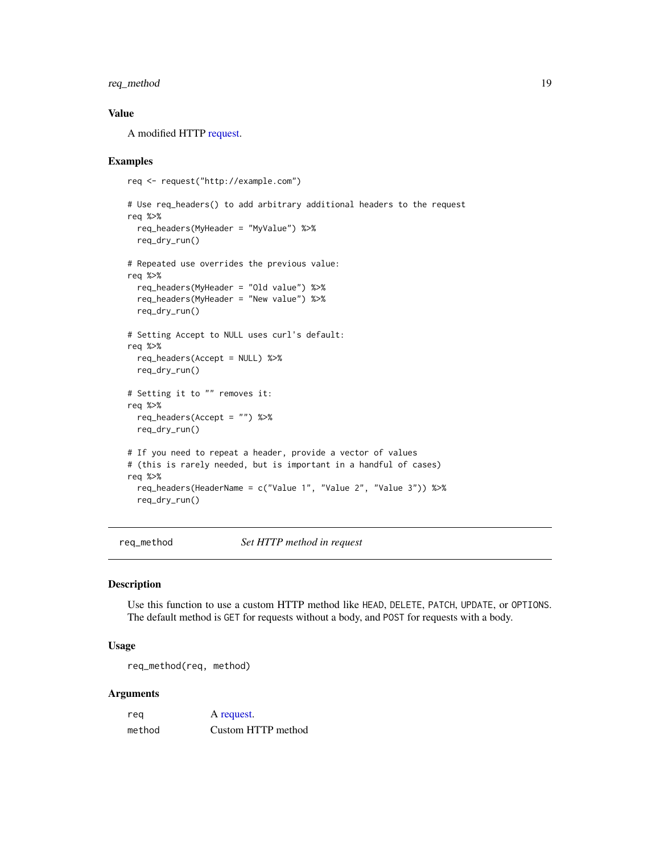# <span id="page-18-0"></span>req\_method 19

### Value

A modified HTTP [request.](#page-10-1)

#### Examples

```
req <- request("http://example.com")
# Use req_headers() to add arbitrary additional headers to the request
req %>%
 req_headers(MyHeader = "MyValue") %>%
 req_dry_run()
# Repeated use overrides the previous value:
req %>%
 req_headers(MyHeader = "Old value") %>%
 req_headers(MyHeader = "New value") %>%
 req_dry_run()
# Setting Accept to NULL uses curl's default:
req %>%
 req_headers(Accept = NULL) %>%
 req_dry_run()
# Setting it to "" removes it:
req %>%
 req_headers(Accept = "") %>%
 req_dry_run()
# If you need to repeat a header, provide a vector of values
# (this is rarely needed, but is important in a handful of cases)
req %>%
 req_headers(HeaderName = c("Value 1", "Value 2", "Value 3")) %>%
 req_dry_run()
```
<span id="page-18-1"></span>req\_method *Set HTTP method in request*

#### Description

Use this function to use a custom HTTP method like HEAD, DELETE, PATCH, UPDATE, or OPTIONS. The default method is GET for requests without a body, and POST for requests with a body.

# Usage

req\_method(req, method)

# Arguments

| reg    | A request.         |
|--------|--------------------|
| method | Custom HTTP method |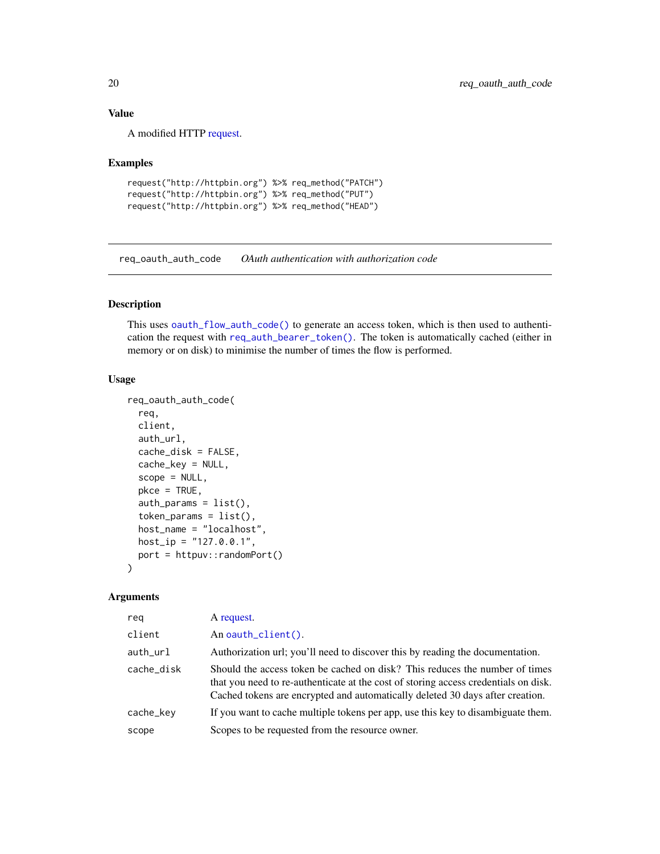# <span id="page-19-0"></span>Value

A modified HTTP [request.](#page-10-1)

#### Examples

```
request("http://httpbin.org") %>% req_method("PATCH")
request("http://httpbin.org") %>% req_method("PUT")
request("http://httpbin.org") %>% req_method("HEAD")
```
req\_oauth\_auth\_code *OAuth authentication with authorization code*

# Description

This uses [oauth\\_flow\\_auth\\_code\(\)](#page-0-0) to generate an access token, which is then used to authentication the request with [req\\_auth\\_bearer\\_token\(\)](#page-12-2). The token is automatically cached (either in memory or on disk) to minimise the number of times the flow is performed.

# Usage

```
req_oauth_auth_code(
  req,
  client,
  auth_url,
  cache_disk = FALSE,
  cache_key = NULL,
  scope = NULL,pkce = TRUE,
  auth\_params = list(),
  token_params = list(),
  host_name = "localhost",
 host\_ip = "127.0.0.1",port = httpuv::randomPort()
)
```
#### **Arguments**

| reg        | A request.                                                                                                                                                                                                                                          |
|------------|-----------------------------------------------------------------------------------------------------------------------------------------------------------------------------------------------------------------------------------------------------|
| client     | An oauth_client().                                                                                                                                                                                                                                  |
| auth_url   | Authorization url; you'll need to discover this by reading the documentation.                                                                                                                                                                       |
| cache_disk | Should the access token be cached on disk? This reduces the number of times<br>that you need to re-authenticate at the cost of storing access credentials on disk.<br>Cached tokens are encrypted and automatically deleted 30 days after creation. |
| cache_key  | If you want to cache multiple tokens per app, use this key to disambiguate them.                                                                                                                                                                    |
| scope      | Scopes to be requested from the resource owner.                                                                                                                                                                                                     |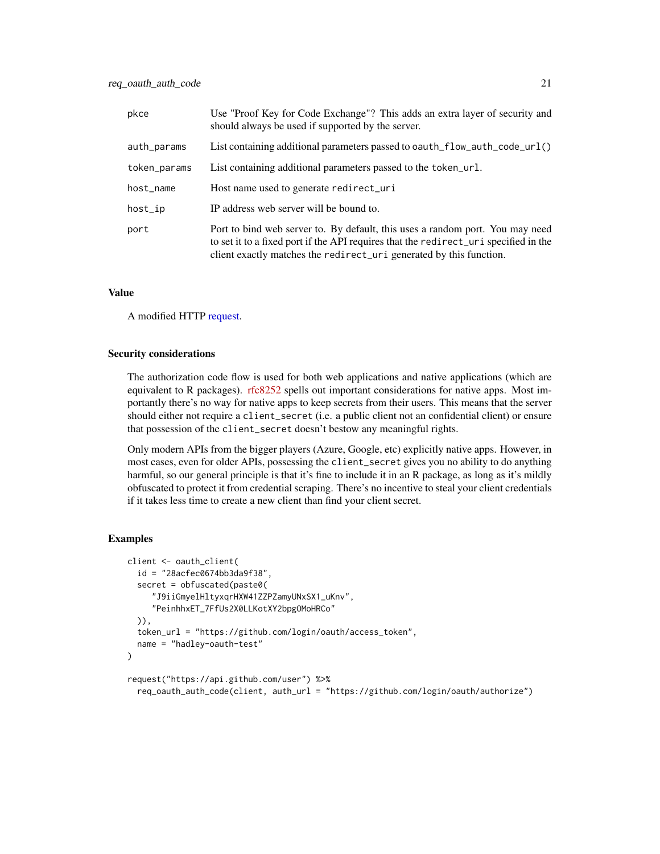| pkce         | Use "Proof Key for Code Exchange"? This adds an extra layer of security and<br>should always be used if supported by the server.                                                                                                             |
|--------------|----------------------------------------------------------------------------------------------------------------------------------------------------------------------------------------------------------------------------------------------|
| auth_params  | List containing additional parameters passed to oauth_flow_auth_code_url()                                                                                                                                                                   |
| token_params | List containing additional parameters passed to the token_url.                                                                                                                                                                               |
| host_name    | Host name used to generate redirect_uri                                                                                                                                                                                                      |
| host_ip      | IP address web server will be bound to.                                                                                                                                                                                                      |
| port         | Port to bind web server to. By default, this uses a random port. You may need<br>to set it to a fixed port if the API requires that the redirect_uri specified in the<br>client exactly matches the redirect_uri generated by this function. |

#### Value

A modified HTTP [request.](#page-10-1)

#### Security considerations

The authorization code flow is used for both web applications and native applications (which are equivalent to R packages). [rfc8252](https://datatracker.ietf.org/doc/html/rfc8252) spells out important considerations for native apps. Most importantly there's no way for native apps to keep secrets from their users. This means that the server should either not require a client\_secret (i.e. a public client not an confidential client) or ensure that possession of the client\_secret doesn't bestow any meaningful rights.

Only modern APIs from the bigger players (Azure, Google, etc) explicitly native apps. However, in most cases, even for older APIs, possessing the client\_secret gives you no ability to do anything harmful, so our general principle is that it's fine to include it in an R package, as long as it's mildly obfuscated to protect it from credential scraping. There's no incentive to steal your client credentials if it takes less time to create a new client than find your client secret.

```
client <- oauth_client(
  id = "28acfec0674bb3da9f38",
  secret = obfuscated(paste0(
     "J9iiGmyelHltyxqrHXW41ZZPZamyUNxSX1_uKnv",
     "PeinhhxET_7FfUs2X0LLKotXY2bpgOMoHRCo"
  )),
  token_url = "https://github.com/login/oauth/access_token",
  name = "hadley-oauth-test"
)
request("https://api.github.com/user") %>%
  req_oauth_auth_code(client, auth_url = "https://github.com/login/oauth/authorize")
```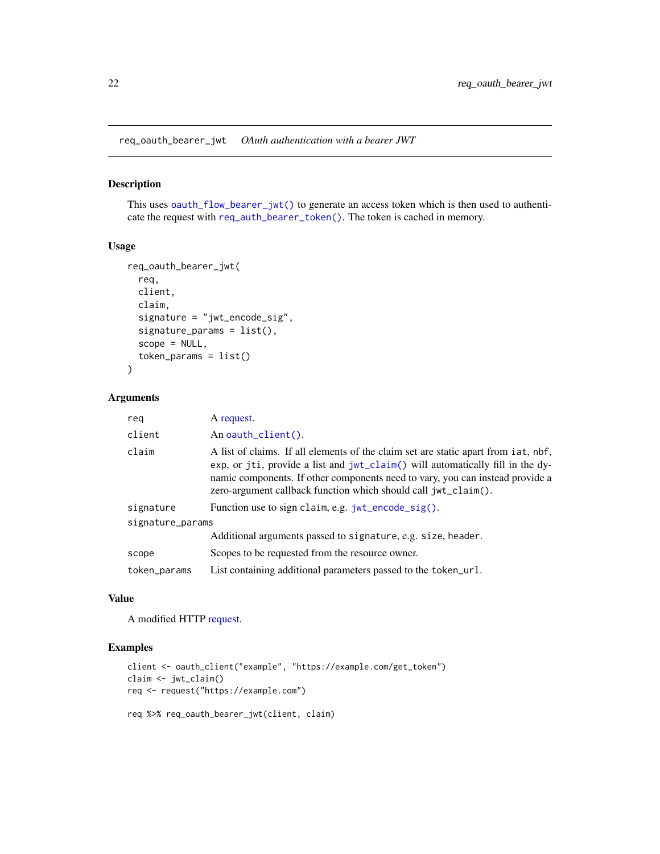<span id="page-21-0"></span>req\_oauth\_bearer\_jwt *OAuth authentication with a bearer JWT*

# Description

This uses [oauth\\_flow\\_bearer\\_jwt\(\)](#page-0-0) to generate an access token which is then used to authenticate the request with [req\\_auth\\_bearer\\_token\(\)](#page-12-2). The token is cached in memory.

#### Usage

```
req_oauth_bearer_jwt(
  req,
 client,
 claim,
  signature = "jwt_encode_sig",
  signature_params = list(),
  scope = NULL,token_params = list()
)
```
# Arguments

| reg              | A request.                                                                                                                                                                                                                                                                                                                              |
|------------------|-----------------------------------------------------------------------------------------------------------------------------------------------------------------------------------------------------------------------------------------------------------------------------------------------------------------------------------------|
| client           | An oauth_client().                                                                                                                                                                                                                                                                                                                      |
| claim            | A list of claims. If all elements of the claim set are static apart from iat, nbf,<br>exp, or jti, provide a list and $jwt$ <sub>claim</sub> $()$ will automatically fill in the dy-<br>namic components. If other components need to vary, you can instead provide a<br>zero-argument callback function which should call jwt_claim(). |
| signature        | Function use to sign claim, e.g. $jwt$ encode $sig()$ .                                                                                                                                                                                                                                                                                 |
| signature_params |                                                                                                                                                                                                                                                                                                                                         |
|                  | Additional arguments passed to signature, e.g. size, header.                                                                                                                                                                                                                                                                            |
| scope            | Scopes to be requested from the resource owner.                                                                                                                                                                                                                                                                                         |
| token_params     | List containing additional parameters passed to the token_url.                                                                                                                                                                                                                                                                          |

# Value

A modified HTTP [request.](#page-10-1)

```
client <- oauth_client("example", "https://example.com/get_token")
claim <- jwt_claim()
req <- request("https://example.com")
```

```
req %>% req_oauth_bearer_jwt(client, claim)
```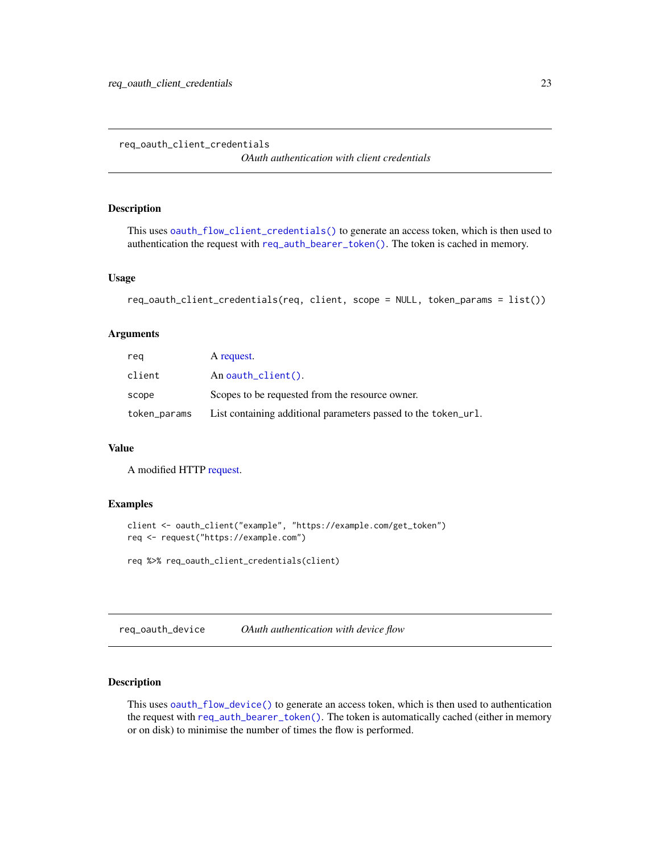<span id="page-22-0"></span>req\_oauth\_client\_credentials

*OAuth authentication with client credentials*

# Description

This uses [oauth\\_flow\\_client\\_credentials\(\)](#page-0-0) to generate an access token, which is then used to authentication the request with [req\\_auth\\_bearer\\_token\(\)](#page-12-2). The token is cached in memory.

# Usage

```
req_oauth_client_credentials(req, client, scope = NULL, token_params = list())
```
## Arguments

| reg          | A request.                                                     |
|--------------|----------------------------------------------------------------|
| client       | An oauth $client()$ .                                          |
| scope        | Scopes to be requested from the resource owner.                |
| token_params | List containing additional parameters passed to the token_ur1. |

# Value

A modified HTTP [request.](#page-10-1)

# Examples

```
client <- oauth_client("example", "https://example.com/get_token")
req <- request("https://example.com")
req %>% req_oauth_client_credentials(client)
```
req\_oauth\_device *OAuth authentication with device flow*

# Description

This uses [oauth\\_flow\\_device\(\)](#page-0-0) to generate an access token, which is then used to authentication the request with [req\\_auth\\_bearer\\_token\(\)](#page-12-2). The token is automatically cached (either in memory or on disk) to minimise the number of times the flow is performed.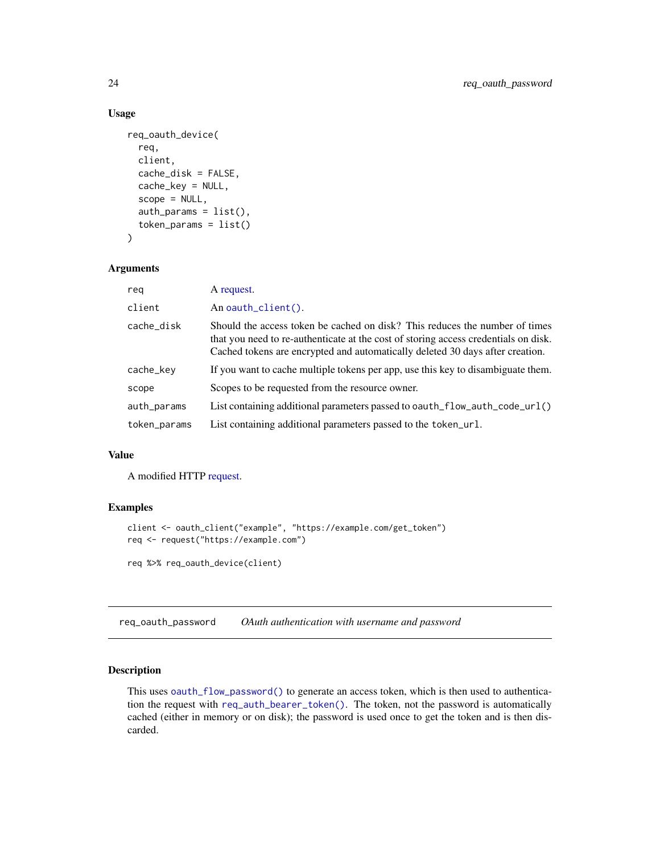# Usage

```
req_oauth_device(
  req,
  client,
  cache_disk = FALSE,
  cache_key = NULL,
  scope = NULL,auth_params = list(),
  token_params = list()
\mathcal{L}
```
# Arguments

| reg          | A request.                                                                                                                                                                                                                                          |
|--------------|-----------------------------------------------------------------------------------------------------------------------------------------------------------------------------------------------------------------------------------------------------|
| client       | An oauth_client().                                                                                                                                                                                                                                  |
| cache_disk   | Should the access token be cached on disk? This reduces the number of times<br>that you need to re-authenticate at the cost of storing access credentials on disk.<br>Cached tokens are encrypted and automatically deleted 30 days after creation. |
| cache_key    | If you want to cache multiple tokens per app, use this key to disambiguate them.                                                                                                                                                                    |
| scope        | Scopes to be requested from the resource owner.                                                                                                                                                                                                     |
| auth_params  | List containing additional parameters passed to oauth_flow_auth_code_url()                                                                                                                                                                          |
| token_params | List containing additional parameters passed to the token_url.                                                                                                                                                                                      |

#### Value

A modified HTTP [request.](#page-10-1)

## Examples

```
client <- oauth_client("example", "https://example.com/get_token")
req <- request("https://example.com")
req %>% req_oauth_device(client)
```
req\_oauth\_password *OAuth authentication with username and password*

# Description

This uses [oauth\\_flow\\_password\(\)](#page-0-0) to generate an access token, which is then used to authentication the request with [req\\_auth\\_bearer\\_token\(\)](#page-12-2). The token, not the password is automatically cached (either in memory or on disk); the password is used once to get the token and is then discarded.

<span id="page-23-0"></span>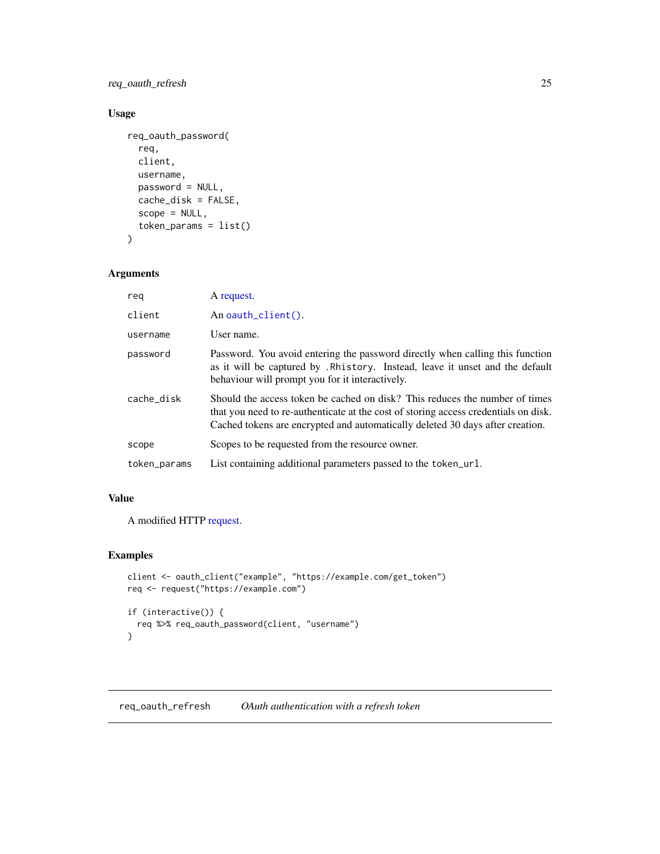<span id="page-24-0"></span>req\_oauth\_refresh 25

# Usage

```
req_oauth_password(
  req,
  client,
  username,
  password = NULL,
  cache_disk = FALSE,
  scope = NULL,
  token_params = list()
\mathcal{L}
```
# Arguments

| rea          | A request.                                                                                                                                                                                                                                          |
|--------------|-----------------------------------------------------------------------------------------------------------------------------------------------------------------------------------------------------------------------------------------------------|
| client       | An oauth_client().                                                                                                                                                                                                                                  |
| username     | User name.                                                                                                                                                                                                                                          |
| password     | Password. You avoid entering the password directly when calling this function<br>as it will be captured by . Rhistory. Instead, leave it unset and the default<br>behaviour will prompt you for it interactively.                                   |
| cache disk   | Should the access token be cached on disk? This reduces the number of times<br>that you need to re-authenticate at the cost of storing access credentials on disk.<br>Cached tokens are encrypted and automatically deleted 30 days after creation. |
| scope        | Scopes to be requested from the resource owner.                                                                                                                                                                                                     |
| token_params | List containing additional parameters passed to the token_url.                                                                                                                                                                                      |

# Value

A modified HTTP [request.](#page-10-1)

# Examples

```
client <- oauth_client("example", "https://example.com/get_token")
req <- request("https://example.com")
if (interactive()) {
  req %>% req_oauth_password(client, "username")
}
```
req\_oauth\_refresh *OAuth authentication with a refresh token*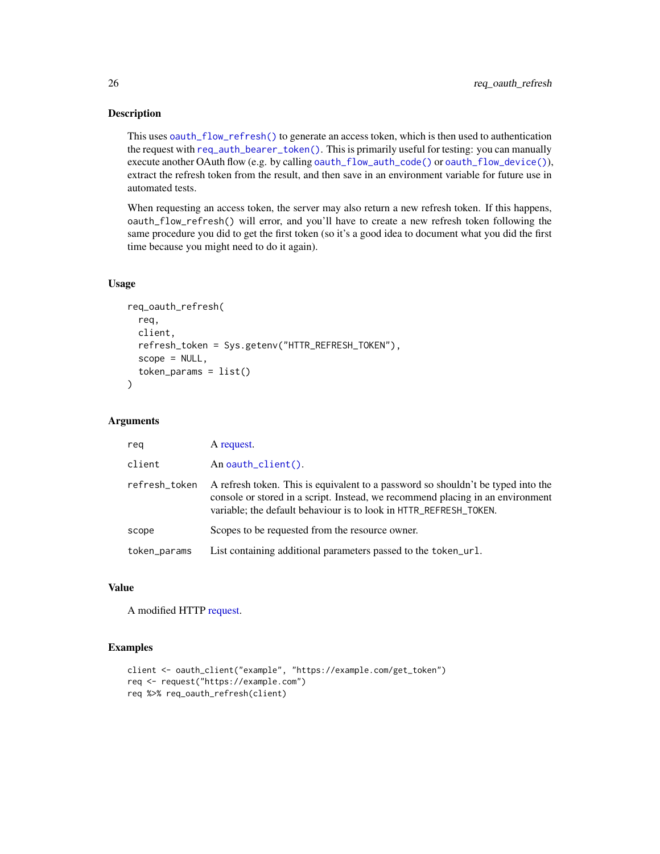This uses [oauth\\_flow\\_refresh\(\)](#page-0-0) to generate an access token, which is then used to authentication the request with [req\\_auth\\_bearer\\_token\(\)](#page-12-2). This is primarily useful for testing: you can manually execute another OAuth flow (e.g. by calling [oauth\\_flow\\_auth\\_code\(\)](#page-0-0) or [oauth\\_flow\\_device\(\)](#page-0-0)), extract the refresh token from the result, and then save in an environment variable for future use in automated tests.

When requesting an access token, the server may also return a new refresh token. If this happens, oauth\_flow\_refresh() will error, and you'll have to create a new refresh token following the same procedure you did to get the first token (so it's a good idea to document what you did the first time because you might need to do it again).

# Usage

```
req_oauth_refresh(
  req,
  client,
  refresh_token = Sys.getenv("HTTR_REFRESH_TOKEN"),
  scope = NULL,token_params = list()
\lambda
```
#### Arguments

| reg           | A request.                                                                                                                                                                                                                              |
|---------------|-----------------------------------------------------------------------------------------------------------------------------------------------------------------------------------------------------------------------------------------|
| client        | An oauth $client()$ .                                                                                                                                                                                                                   |
| refresh_token | A refresh token. This is equivalent to a password so shouldn't be typed into the<br>console or stored in a script. Instead, we recommend placing in an environment<br>variable; the default behaviour is to look in HTTR_REFRESH_TOKEN. |
| scope         | Scopes to be requested from the resource owner.                                                                                                                                                                                         |
| token_params  | List containing additional parameters passed to the token_url.                                                                                                                                                                          |

# Value

A modified HTTP [request.](#page-10-1)

```
client <- oauth_client("example", "https://example.com/get_token")
req <- request("https://example.com")
req %>% req_oauth_refresh(client)
```
<span id="page-25-0"></span>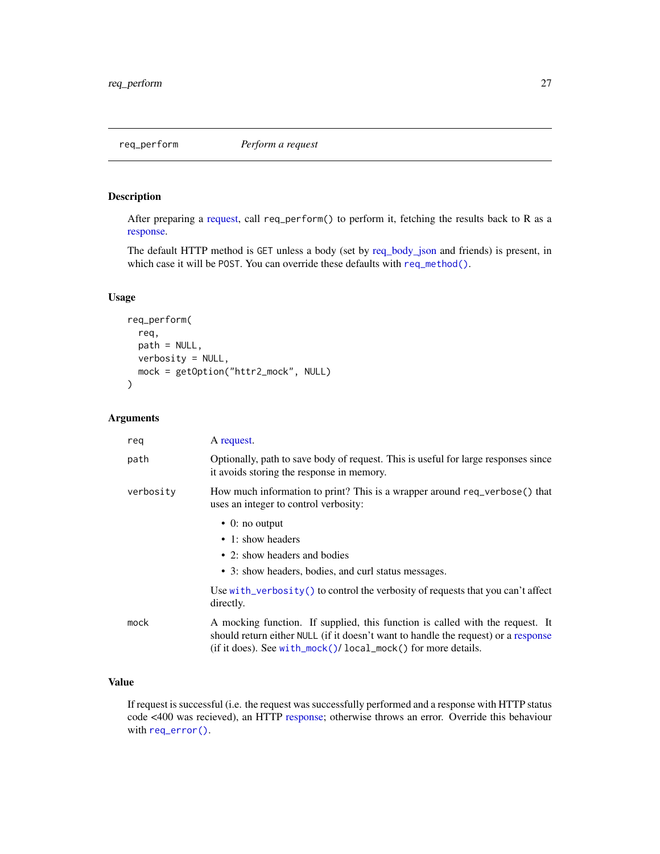<span id="page-26-1"></span><span id="page-26-0"></span>

After preparing a [request,](#page-10-1) call req\_perform() to perform it, fetching the results back to R as a [response.](#page-0-0)

The default HTTP method is GET unless a body (set by [req\\_body\\_json](#page-12-1) and friends) is present, in which case it will be POST. You can override these defaults with [req\\_method\(\)](#page-18-1).

# Usage

```
req_perform(
  req,
 path = NULL,
 verbosity = NULL,
 mock = getOption("httr2_mock", NULL)
\mathcal{L}
```
#### Arguments

| reg       | A request.                                                                                                                                                                                                                                  |
|-----------|---------------------------------------------------------------------------------------------------------------------------------------------------------------------------------------------------------------------------------------------|
| path      | Optionally, path to save body of request. This is useful for large responses since<br>it avoids storing the response in memory.                                                                                                             |
| verbosity | How much information to print? This is a wrapper around req_verbose() that<br>uses an integer to control verbosity:                                                                                                                         |
|           | $\bullet$ 0: no output                                                                                                                                                                                                                      |
|           | • 1: show headers                                                                                                                                                                                                                           |
|           | • 2: show headers and bodies                                                                                                                                                                                                                |
|           | • 3: show headers, bodies, and curl status messages.                                                                                                                                                                                        |
|           | Use with_verbosity() to control the verbosity of requests that you can't affect<br>directly.                                                                                                                                                |
| mock      | A mocking function. If supplied, this function is called with the request. It<br>should return either NULL (if it doesn't want to handle the request) or a response<br>(if it does). See with_mock( $)$ / local_mock( $)$ for more details. |

# Value

If request is successful (i.e. the request was successfully performed and a response with HTTP status code <400 was recieved), an HTTP [response;](#page-0-0) otherwise throws an error. Override this behaviour with [req\\_error\(\)](#page-16-1).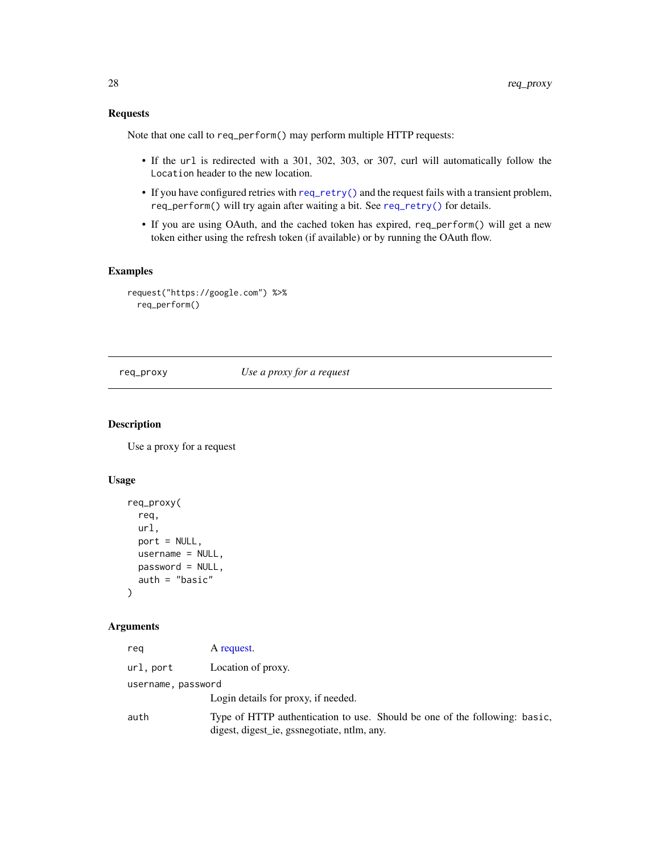# <span id="page-27-0"></span>Requests

Note that one call to req\_perform() may perform multiple HTTP requests:

- If the url is redirected with a 301, 302, 303, or 307, curl will automatically follow the Location header to the new location.
- If you have configured retries with [req\\_retry\(\)](#page-28-1) and the request fails with a transient problem, req\_perform() will try again after waiting a bit. See [req\\_retry\(\)](#page-28-1) for details.
- If you are using OAuth, and the cached token has expired, req\_perform() will get a new token either using the refresh token (if available) or by running the OAuth flow.

# Examples

```
request("https://google.com") %>%
 req_perform()
```
req\_proxy *Use a proxy for a request*

#### Description

Use a proxy for a request

# Usage

```
req_proxy(
  req,
  url,
  port = NULL,
 username = NULL,
 password = NULL,
  auth = "basic"
\mathcal{E}
```
## Arguments

| rea                | A request.                                                                                                                |
|--------------------|---------------------------------------------------------------------------------------------------------------------------|
| url.port           | Location of proxy.                                                                                                        |
| username, password |                                                                                                                           |
|                    | Login details for proxy, if needed.                                                                                       |
| auth               | Type of HTTP authentication to use. Should be one of the following: basic,<br>digest, digest_ie, gssnegotiate, ntlm, any. |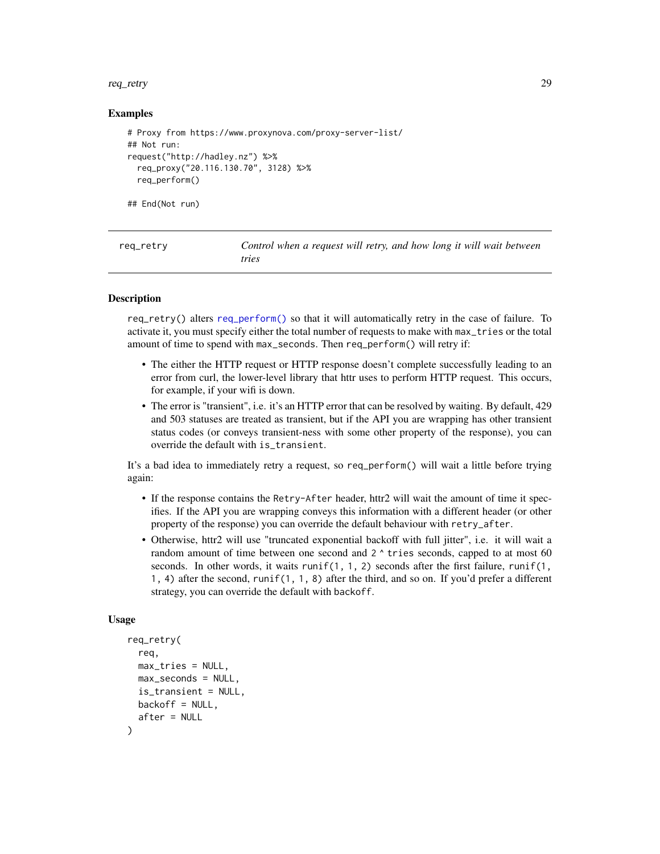#### <span id="page-28-0"></span>req\_retry 29

#### Examples

```
# Proxy from https://www.proxynova.com/proxy-server-list/
## Not run:
request("http://hadley.nz") %>%
 req_proxy("20.116.130.70", 3128) %>%
 req_perform()
```
## End(Not run)

<span id="page-28-1"></span>req\_retry *Control when a request will retry, and how long it will wait between tries*

#### **Description**

req\_retry() alters [req\\_perform\(\)](#page-26-1) so that it will automatically retry in the case of failure. To activate it, you must specify either the total number of requests to make with max\_tries or the total amount of time to spend with max\_seconds. Then req\_perform() will retry if:

- The either the HTTP request or HTTP response doesn't complete successfully leading to an error from curl, the lower-level library that httr uses to perform HTTP request. This occurs, for example, if your wifi is down.
- The error is "transient", i.e. it's an HTTP error that can be resolved by waiting. By default, 429 and 503 statuses are treated as transient, but if the API you are wrapping has other transient status codes (or conveys transient-ness with some other property of the response), you can override the default with is\_transient.

It's a bad idea to immediately retry a request, so req\_perform() will wait a little before trying again:

- If the response contains the Retry-After header, httr2 will wait the amount of time it specifies. If the API you are wrapping conveys this information with a different header (or other property of the response) you can override the default behaviour with retry\_after.
- Otherwise, httr2 will use "truncated exponential backoff with full jitter", i.e. it will wait a random amount of time between one second and  $2 \wedge$  tries seconds, capped to at most 60 seconds. In other words, it waits runif(1, 1, 2) seconds after the first failure, runif(1, 1, 4) after the second, runif(1, 1, 8) after the third, and so on. If you'd prefer a different strategy, you can override the default with backoff.

#### Usage

```
req_retry(
  req,
 max\_tries = NULL,max_seconds = NULL,
  is_transient = NULL,
 backoff = NULL,
  after = NULL
)
```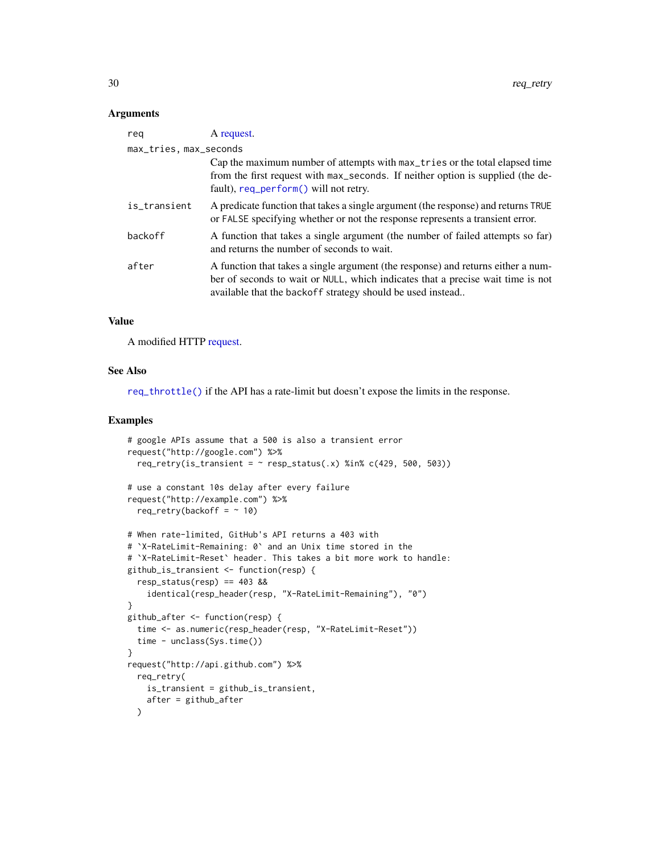#### <span id="page-29-0"></span>**Arguments**

| reg                    | A request.                                                                                                                                                                                                                        |
|------------------------|-----------------------------------------------------------------------------------------------------------------------------------------------------------------------------------------------------------------------------------|
| max_tries, max_seconds |                                                                                                                                                                                                                                   |
|                        | Cap the maximum number of attempts with max_tries or the total elapsed time<br>from the first request with max_seconds. If neither option is supplied (the de-<br>fault), req_perform() will not retry.                           |
| is_transient           | A predicate function that takes a single argument (the response) and returns TRUE<br>or FALSE specifying whether or not the response represents a transient error.                                                                |
| backoff                | A function that takes a single argument (the number of failed attempts so far)<br>and returns the number of seconds to wait.                                                                                                      |
| after                  | A function that takes a single argument (the response) and returns either a num-<br>ber of seconds to wait or NULL, which indicates that a precise wait time is not<br>available that the backoff strategy should be used instead |

#### Value

A modified HTTP [request.](#page-10-1)

# See Also

[req\\_throttle\(\)](#page-31-1) if the API has a rate-limit but doesn't expose the limits in the response.

```
# google APIs assume that a 500 is also a transient error
request("http://google.com") %>%
  req_retry(is_transient = \sim resp_status(.x) %in% c(429, 500, 503))
# use a constant 10s delay after every failure
request("http://example.com") %>%
  req_retry(backoff = \sim 10)
# When rate-limited, GitHub's API returns a 403 with
# `X-RateLimit-Remaining: 0` and an Unix time stored in the
# `X-RateLimit-Reset` header. This takes a bit more work to handle:
github_is_transient <- function(resp) {
  resp_status(resp) == 403 &&
    identical(resp_header(resp, "X-RateLimit-Remaining"), "0")
}
github_after <- function(resp) {
  time <- as.numeric(resp_header(resp, "X-RateLimit-Reset"))
  time - unclass(Sys.time())
}
request("http://api.github.com") %>%
  req_retry(
    is_transient = github_is_transient,
   after = github_after
  )
```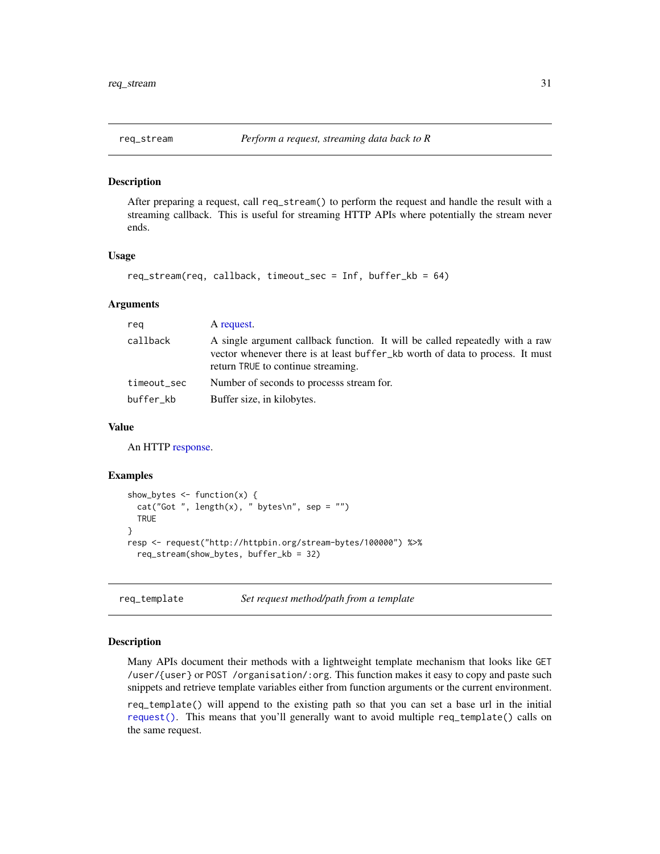<span id="page-30-0"></span>

After preparing a request, call req\_stream() to perform the request and handle the result with a streaming callback. This is useful for streaming HTTP APIs where potentially the stream never ends.

#### Usage

```
req_stream(req, callback, timeout_sec = Inf, buffer_kb = 64)
```
#### **Arguments**

| reg         | A request.                                                                                                                                                                                          |
|-------------|-----------------------------------------------------------------------------------------------------------------------------------------------------------------------------------------------------|
| callback    | A single argument callback function. It will be called repeatedly with a raw<br>vector whenever there is at least buffer_kb worth of data to process. It must<br>return TRUE to continue streaming. |
| timeout_sec | Number of seconds to processs stream for.                                                                                                                                                           |
| buffer_kb   | Buffer size, in kilobytes.                                                                                                                                                                          |

# Value

An HTTP [response.](#page-0-0)

#### Examples

```
show_bytes \leq function(x) {
 cat("Got", length(x), " bytes\n', sep = "")TRUE
}
resp <- request("http://httpbin.org/stream-bytes/100000") %>%
 req_stream(show_bytes, buffer_kb = 32)
```
req\_template *Set request method/path from a template*

#### Description

Many APIs document their methods with a lightweight template mechanism that looks like GET /user/{user} or POST /organisation/:org. This function makes it easy to copy and paste such snippets and retrieve template variables either from function arguments or the current environment.

req\_template() will append to the existing path so that you can set a base url in the initial [request\(\)](#page-10-1). This means that you'll generally want to avoid multiple req\_template() calls on the same request.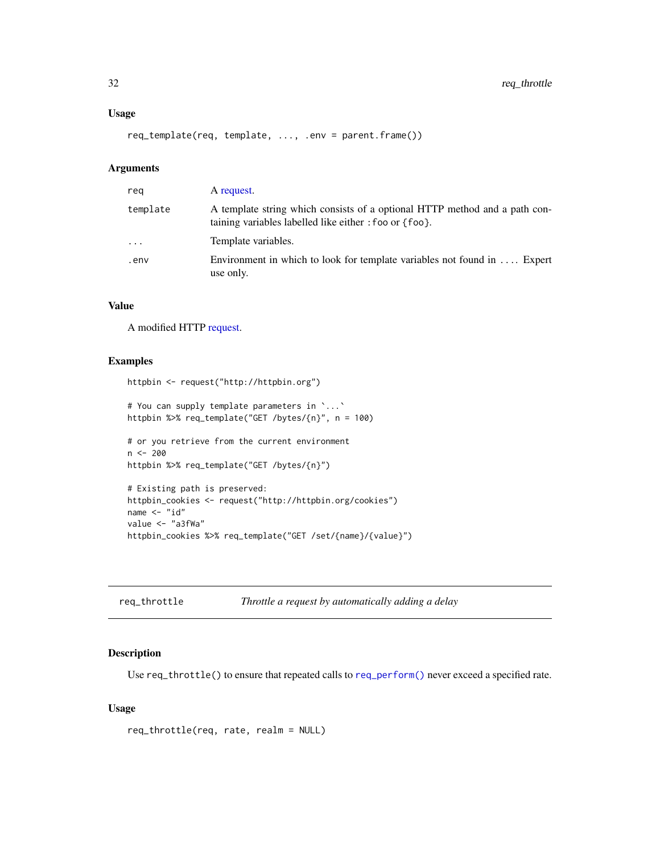# <span id="page-31-0"></span>Usage

```
req_template(req, template, ..., .env = parent.frame())
```
# Arguments

| reg       | A request.                                                                                                                           |
|-----------|--------------------------------------------------------------------------------------------------------------------------------------|
| template  | A template string which consists of a optional HTTP method and a path con-<br>taining variables labelled like either : foo or {foo}. |
| $\ddotsc$ | Template variables.                                                                                                                  |
| env.      | Environment in which to look for template variables not found in  Expert<br>use only.                                                |

# Value

A modified HTTP [request.](#page-10-1)

# Examples

```
httpbin <- request("http://httpbin.org")
```

```
# You can supply template parameters in `...`
httpbin %>% req_template("GET /bytes/{n}", n = 100)
```

```
# or you retrieve from the current environment
n < -200httpbin %>% req_template("GET /bytes/{n}")
```

```
# Existing path is preserved:
httpbin_cookies <- request("http://httpbin.org/cookies")
name <- "id"
value <- "a3fWa"
httpbin_cookies %>% req_template("GET /set/{name}/{value}")
```
<span id="page-31-1"></span>

| req_throttle | Throttle a request by automatically adding a delay |  |
|--------------|----------------------------------------------------|--|
|              |                                                    |  |

### Description

Use req\_throttle() to ensure that repeated calls to [req\\_perform\(\)](#page-26-1) never exceed a specified rate.

# Usage

```
req_throttle(req, rate, realm = NULL)
```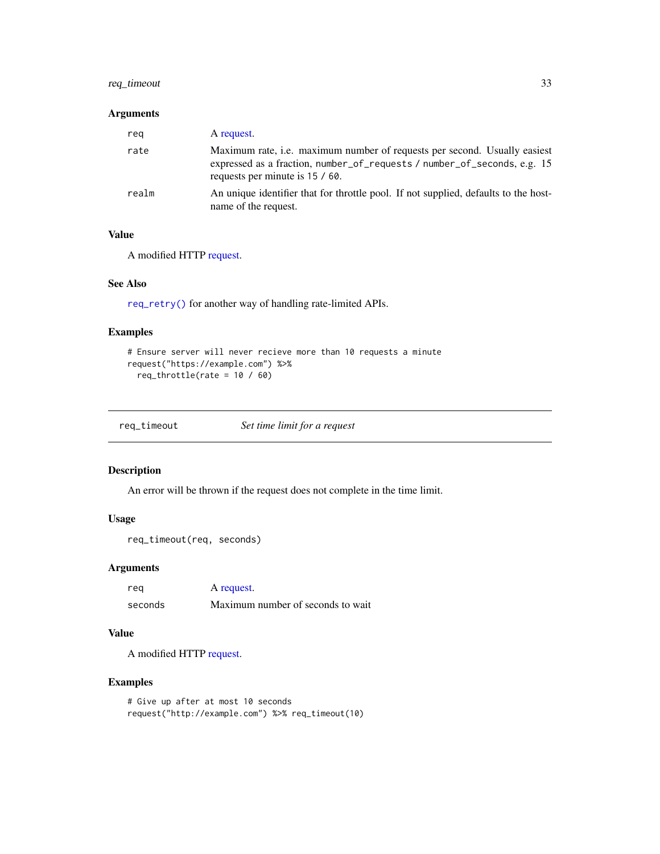# <span id="page-32-0"></span>req\_timeout 33

#### Arguments

| reg   | A request.                                                                                                                                                                               |
|-------|------------------------------------------------------------------------------------------------------------------------------------------------------------------------------------------|
| rate  | Maximum rate, i.e. maximum number of requests per second. Usually easiest<br>expressed as a fraction, number_of_requests / number_of_seconds, e.g. 15<br>requests per minute is 15 / 60. |
| realm | An unique identifier that for throttle pool. If not supplied, defaults to the host-<br>name of the request.                                                                              |

# Value

A modified HTTP [request.](#page-10-1)

# See Also

[req\\_retry\(\)](#page-28-1) for another way of handling rate-limited APIs.

# Examples

```
# Ensure server will never recieve more than 10 requests a minute
request("https://example.com") %>%
  req\_throttle(rate = 10 / 60)
```
req\_timeout *Set time limit for a request*

# Description

An error will be thrown if the request does not complete in the time limit.

# Usage

```
req_timeout(req, seconds)
```
# Arguments

| reg     | A request.                        |
|---------|-----------------------------------|
| seconds | Maximum number of seconds to wait |

# Value

A modified HTTP [request.](#page-10-1)

```
# Give up after at most 10 seconds
request("http://example.com") %>% req_timeout(10)
```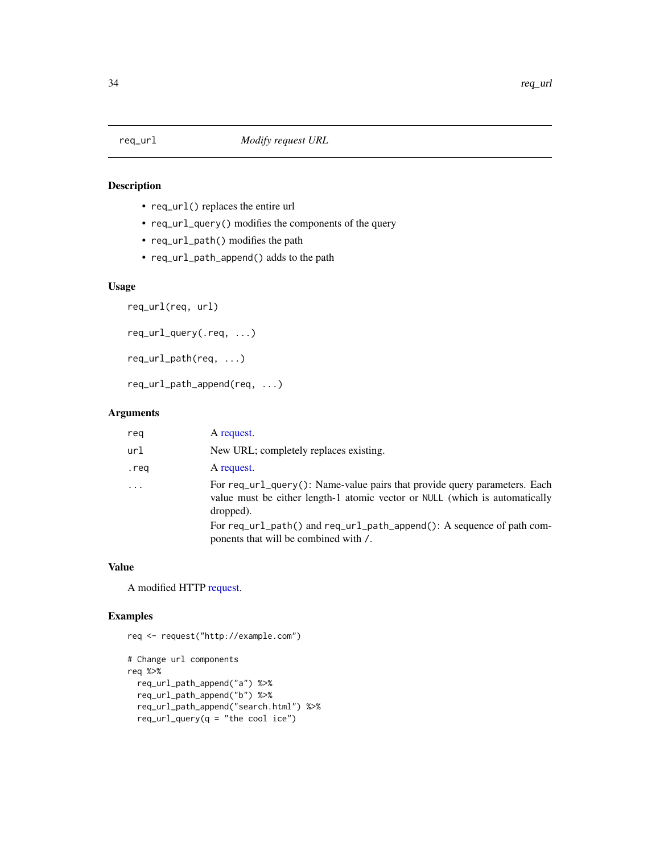- <span id="page-33-0"></span>• req\_url() replaces the entire url
- req\_url\_query() modifies the components of the query
- req\_url\_path() modifies the path
- req\_url\_path\_append() adds to the path

# Usage

```
req_url(req, url)
```

```
req_url_query(.req, ...)
```

```
req_url_path(req, ...)
```
req\_url\_path\_append(req, ...)

#### Arguments

| reg      | A request.                                                                                                                                                            |
|----------|-----------------------------------------------------------------------------------------------------------------------------------------------------------------------|
| url      | New URL; completely replaces existing.                                                                                                                                |
| .req     | A request.                                                                                                                                                            |
| $\cdots$ | For req_url_query(): Name-value pairs that provide query parameters. Each<br>value must be either length-1 atomic vector or NULL (which is automatically<br>dropped). |
|          | For req_url_path() and req_url_path_append(): A sequence of path com-<br>ponents that will be combined with /.                                                        |

#### Value

A modified HTTP [request.](#page-10-1)

```
req <- request("http://example.com")
# Change url components
req %>%
  req_url_path_append("a") %>%
  req_url_path_append("b") %>%
  req_url_path_append("search.html") %>%
  req\_url\_query(q = "the cool ice")
```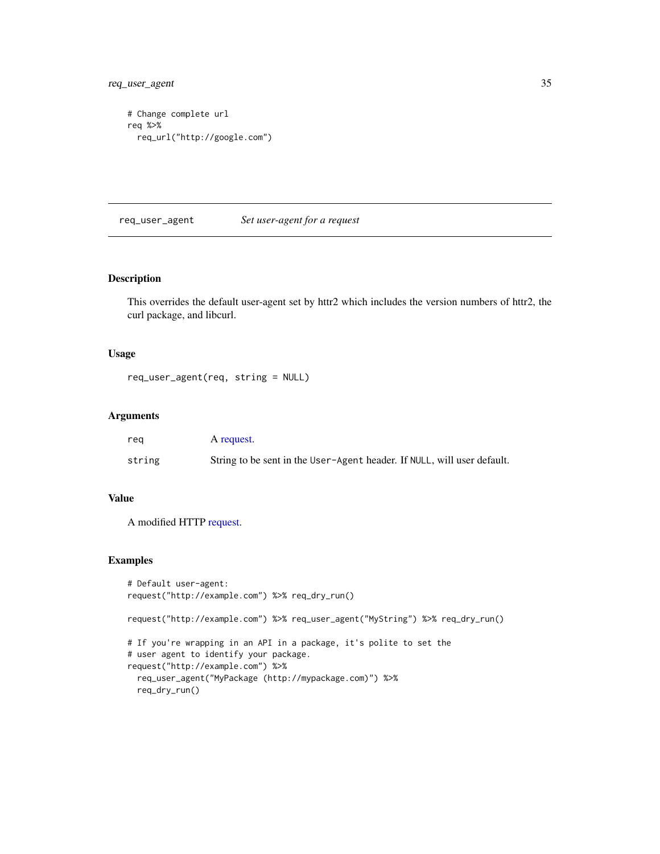<span id="page-34-0"></span>req\_user\_agent 35

```
# Change complete url
req %>%
  req_url("http://google.com")
```
req\_user\_agent *Set user-agent for a request*

# Description

This overrides the default user-agent set by httr2 which includes the version numbers of httr2, the curl package, and libcurl.

#### Usage

```
req_user_agent(req, string = NULL)
```
# Arguments

| reg    | A request.                                                              |
|--------|-------------------------------------------------------------------------|
| string | String to be sent in the User-Agent header. If NULL, will user default. |

# Value

A modified HTTP [request.](#page-10-1)

```
# Default user-agent:
request("http://example.com") %>% req_dry_run()
request("http://example.com") %>% req_user_agent("MyString") %>% req_dry_run()
# If you're wrapping in an API in a package, it's polite to set the
# user agent to identify your package.
request("http://example.com") %>%
  req_user_agent("MyPackage (http://mypackage.com)") %>%
  req_dry_run()
```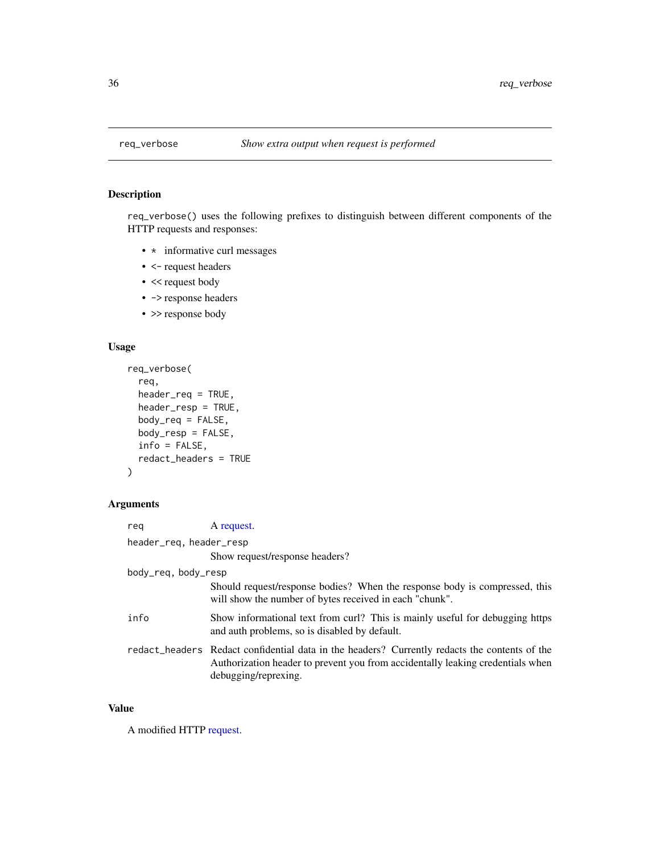req\_verbose() uses the following prefixes to distinguish between different components of the HTTP requests and responses:

- \* informative curl messages
- <- request headers
- << request body
- -> response headers
- > response body

# Usage

```
req_verbose(
  req,
 header_req = TRUE,
  header_resp = TRUE,
  body_req = FALSE,
  body_resp = FALSE,
  info = FALSE,
  redact_headers = TRUE
\mathcal{L}
```
# Arguments

| reg                 | A request.                                                                                                                                                                                              |  |
|---------------------|---------------------------------------------------------------------------------------------------------------------------------------------------------------------------------------------------------|--|
|                     | header_req, header_resp                                                                                                                                                                                 |  |
|                     | Show request/response headers?                                                                                                                                                                          |  |
| body_req, body_resp |                                                                                                                                                                                                         |  |
|                     | Should request/response bodies? When the response body is compressed, this<br>will show the number of bytes received in each "chunk".                                                                   |  |
| info                | Show informational text from curl? This is mainly useful for debugging https<br>and auth problems, so is disabled by default.                                                                           |  |
|                     | redact_headers Redact confidential data in the headers? Currently redacts the contents of the<br>Authorization header to prevent you from accidentally leaking credentials when<br>debugging/reprexing. |  |

# Value

A modified HTTP [request.](#page-10-1)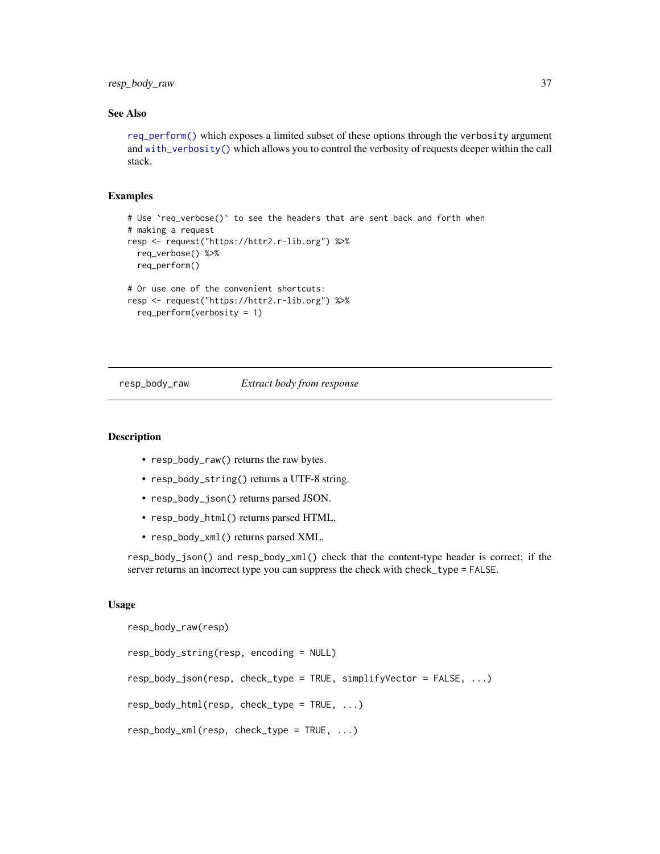<span id="page-36-0"></span>resp\_body\_raw 37

# See Also

[req\\_perform\(\)](#page-26-1) which exposes a limited subset of these options through the verbosity argument and [with\\_verbosity\(\)](#page-46-1) which allows you to control the verbosity of requests deeper within the call stack.

## Examples

```
# Use 'req_verbose()' to see the headers that are sent back and forth when
# making a request
resp <- request("https://httr2.r-lib.org") %>%
 req_verbose() %>%
 req_perform()
# Or use one of the convenient shortcuts:
resp <- request("https://httr2.r-lib.org") %>%
 req_perform(verbosity = 1)
```
resp\_body\_raw *Extract body from response*

#### <span id="page-36-1"></span>Description

- resp\_body\_raw() returns the raw bytes.
- resp\_body\_string() returns a UTF-8 string.
- resp\_body\_json() returns parsed JSON.
- resp\_body\_html() returns parsed HTML.
- resp\_body\_xml() returns parsed XML.

resp\_body\_json() and resp\_body\_xml() check that the content-type header is correct; if the server returns an incorrect type you can suppress the check with check\_type = FALSE.

#### Usage

```
resp_body_raw(resp)
resp_body_string(resp, encoding = NULL)
resp_body_json(resp, check_type = TRUE, simplifyVector = FALSE, ...)
resp_body_html(resp, check_type = TRUE, ...)
resp_body_xml(resp, check_type = TRUE, ...)
```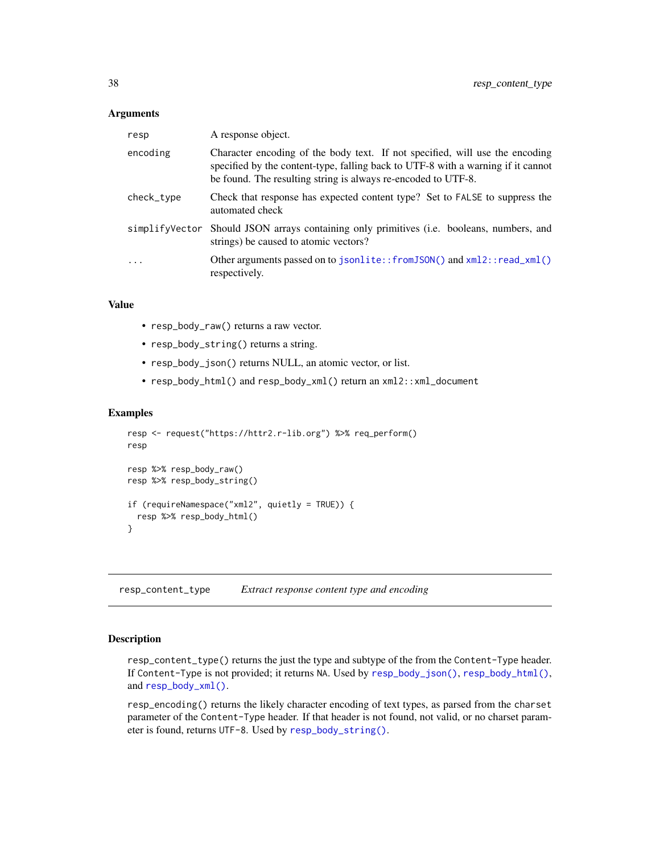#### <span id="page-37-0"></span>**Arguments**

| A response object.                                                                                                                                                                                                                |
|-----------------------------------------------------------------------------------------------------------------------------------------------------------------------------------------------------------------------------------|
| Character encoding of the body text. If not specified, will use the encoding<br>specified by the content-type, falling back to UTF-8 with a warning if it cannot<br>be found. The resulting string is always re-encoded to UTF-8. |
| Check that response has expected content type? Set to FALSE to suppress the<br>automated check                                                                                                                                    |
| simplify Vector Should JSON arrays containing only primitives (i.e. booleans, numbers, and<br>strings) be caused to atomic vectors?                                                                                               |
| Other arguments passed on to jsonlite::fromJSON() and xml2::read_xml()<br>respectively.                                                                                                                                           |
|                                                                                                                                                                                                                                   |

# Value

- resp\_body\_raw() returns a raw vector.
- resp\_body\_string() returns a string.
- resp\_body\_json() returns NULL, an atomic vector, or list.
- resp\_body\_html() and resp\_body\_xml() return an xml2::xml\_document

#### Examples

```
resp <- request("https://httr2.r-lib.org") %>% req_perform()
resp
resp %>% resp_body_raw()
resp %>% resp_body_string()
if (requireNamespace("xml2", quietly = TRUE)) {
 resp %>% resp_body_html()
}
```
resp\_content\_type *Extract response content type and encoding*

# Description

resp\_content\_type() returns the just the type and subtype of the from the Content-Type header. If Content-Type is not provided; it returns NA. Used by [resp\\_body\\_json\(\)](#page-36-1), [resp\\_body\\_html\(\)](#page-36-1), and [resp\\_body\\_xml\(\)](#page-36-1).

resp\_encoding() returns the likely character encoding of text types, as parsed from the charset parameter of the Content-Type header. If that header is not found, not valid, or no charset parameter is found, returns UTF-8. Used by [resp\\_body\\_string\(\)](#page-36-1).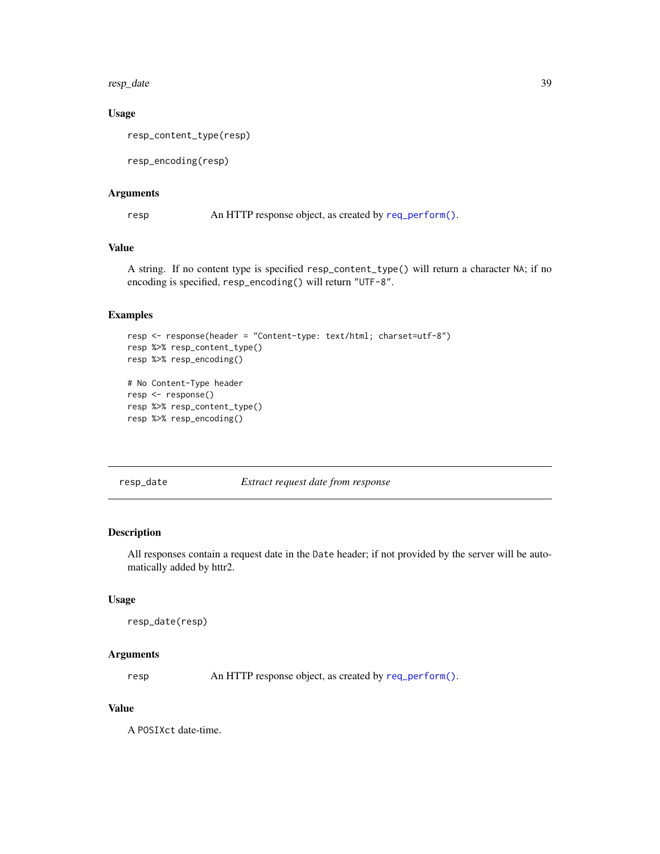<span id="page-38-0"></span>resp\_date 39

# Usage

resp\_content\_type(resp)

resp\_encoding(resp)

#### Arguments

resp An HTTP response object, as created by [req\\_perform\(\)](#page-26-1).

# Value

A string. If no content type is specified resp\_content\_type() will return a character NA; if no encoding is specified, resp\_encoding() will return "UTF-8".

# Examples

```
resp <- response(header = "Content-type: text/html; charset=utf-8")
resp %>% resp_content_type()
resp %>% resp_encoding()
# No Content-Type header
resp <- response()
resp %>% resp_content_type()
resp %>% resp_encoding()
```
resp\_date *Extract request date from response*

### Description

All responses contain a request date in the Date header; if not provided by the server will be automatically added by httr2.

# Usage

```
resp_date(resp)
```
#### Arguments

resp An HTTP response object, as created by [req\\_perform\(\)](#page-26-1).

#### Value

A POSIXct date-time.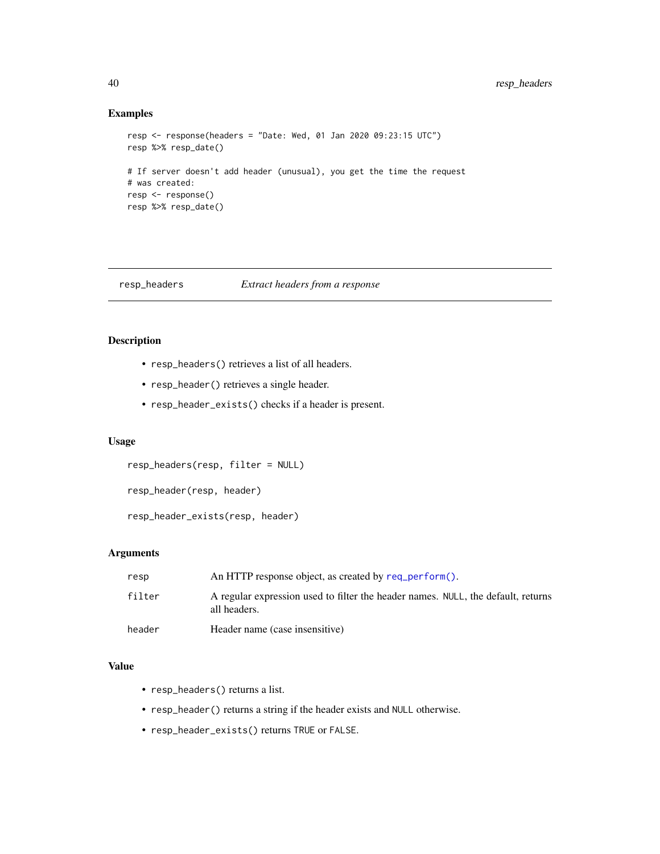# Examples

```
resp <- response(headers = "Date: Wed, 01 Jan 2020 09:23:15 UTC")
resp %>% resp_date()
# If server doesn't add header (unusual), you get the time the request
# was created:
resp <- response()
resp %>% resp_date()
```
# resp\_headers *Extract headers from a response*

# Description

- resp\_headers() retrieves a list of all headers.
- resp\_header() retrieves a single header.
- resp\_header\_exists() checks if a header is present.

# Usage

resp\_headers(resp, filter = NULL)

resp\_header(resp, header)

resp\_header\_exists(resp, header)

#### Arguments

| resp   | An HTTP response object, as created by req perform().                                            |
|--------|--------------------------------------------------------------------------------------------------|
| filter | A regular expression used to filter the header names. NULL, the default, returns<br>all headers. |
| header | Header name (case insensitive)                                                                   |

# Value

- resp\_headers() returns a list.
- resp\_header() returns a string if the header exists and NULL otherwise.
- resp\_header\_exists() returns TRUE or FALSE.

<span id="page-39-0"></span>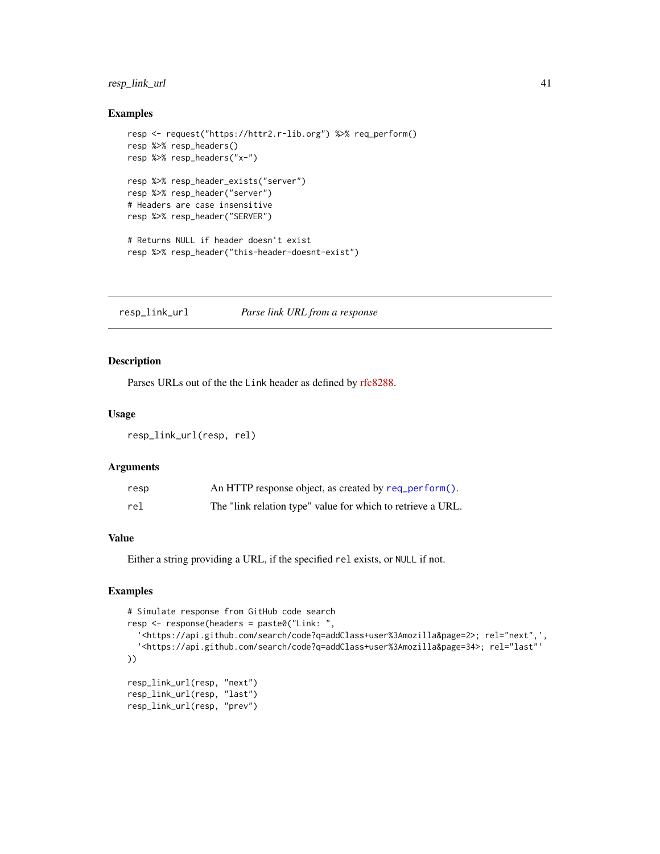# <span id="page-40-0"></span>resp\_link\_url 41

#### Examples

```
resp <- request("https://httr2.r-lib.org") %>% req_perform()
resp %>% resp_headers()
resp %>% resp_headers("x-")
resp %>% resp_header_exists("server")
resp %>% resp_header("server")
# Headers are case insensitive
resp %>% resp_header("SERVER")
# Returns NULL if header doesn't exist
resp %>% resp_header("this-header-doesnt-exist")
```
resp\_link\_url *Parse link URL from a response*

# Description

Parses URLs out of the the Link header as defined by [rfc8288.](https://datatracker.ietf.org/doc/html/rfc8288)

# Usage

```
resp_link_url(resp, rel)
```
# Arguments

| resp | An HTTP response object, as created by req_perform().       |
|------|-------------------------------------------------------------|
| rel  | The "link relation type" value for which to retrieve a URL. |

# Value

Either a string providing a URL, if the specified rel exists, or NULL if not.

```
# Simulate response from GitHub code search
resp <- response(headers = paste0("Link: ",
  '<https://api.github.com/search/code?q=addClass+user%3Amozilla&page=2>; rel="next",',
  '<https://api.github.com/search/code?q=addClass+user%3Amozilla&page=34>; rel="last"'
))
resp_link_url(resp, "next")
resp_link_url(resp, "last")
resp_link_url(resp, "prev")
```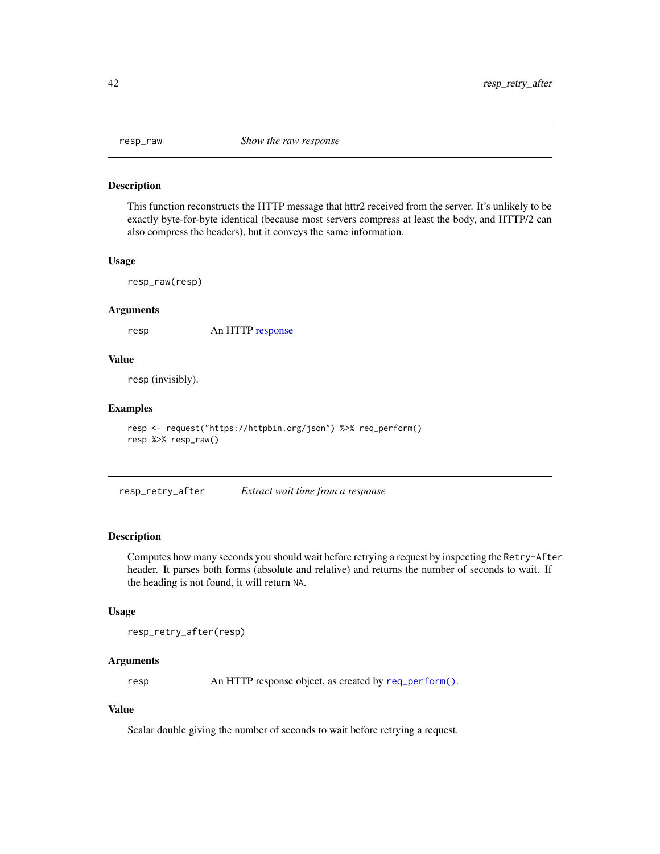<span id="page-41-0"></span>

This function reconstructs the HTTP message that httr2 received from the server. It's unlikely to be exactly byte-for-byte identical (because most servers compress at least the body, and HTTP/2 can also compress the headers), but it conveys the same information.

#### Usage

resp\_raw(resp)

#### Arguments

resp An HTTP [response](#page-0-0)

# Value

resp (invisibly).

# Examples

```
resp <- request("https://httpbin.org/json") %>% req_perform()
resp %>% resp_raw()
```
resp\_retry\_after *Extract wait time from a response*

#### Description

Computes how many seconds you should wait before retrying a request by inspecting the Retry-After header. It parses both forms (absolute and relative) and returns the number of seconds to wait. If the heading is not found, it will return NA.

#### Usage

resp\_retry\_after(resp)

# Arguments

resp An HTTP response object, as created by [req\\_perform\(\)](#page-26-1).

# Value

Scalar double giving the number of seconds to wait before retrying a request.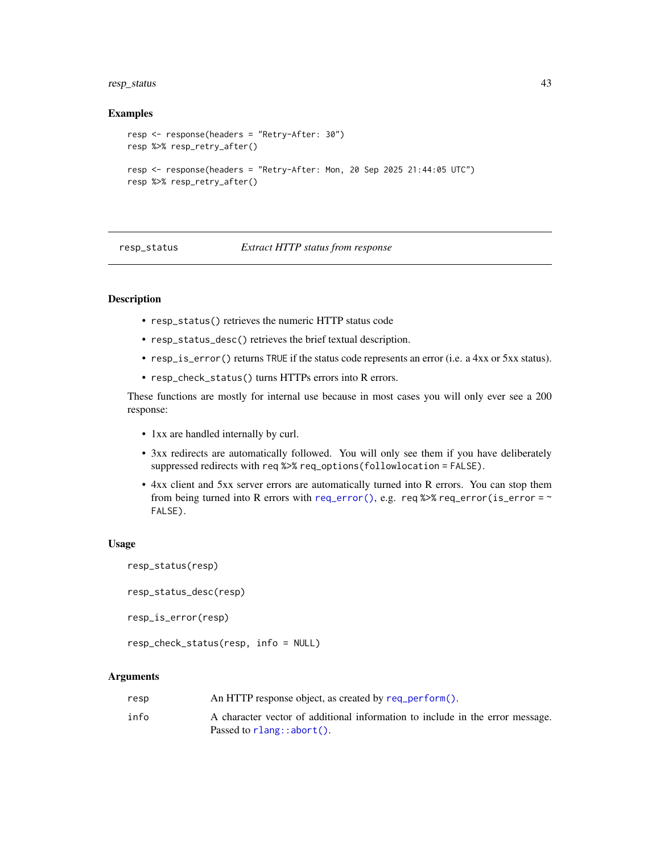# <span id="page-42-0"></span>resp\_status 43

#### Examples

```
resp <- response(headers = "Retry-After: 30")
resp %>% resp_retry_after()
resp <- response(headers = "Retry-After: Mon, 20 Sep 2025 21:44:05 UTC")
resp %>% resp_retry_after()
```
resp\_status *Extract HTTP status from response*

#### Description

- resp\_status() retrieves the numeric HTTP status code
- resp\_status\_desc() retrieves the brief textual description.
- resp\_is\_error() returns TRUE if the status code represents an error (i.e. a 4xx or 5xx status).
- resp\_check\_status() turns HTTPs errors into R errors.

These functions are mostly for internal use because in most cases you will only ever see a 200 response:

- 1xx are handled internally by curl.
- 3xx redirects are automatically followed. You will only see them if you have deliberately suppressed redirects with req %>% req\_options(followlocation = FALSE).
- 4xx client and 5xx server errors are automatically turned into R errors. You can stop them from being turned into R errors with [req\\_error\(\)](#page-16-1), e.g. req %>% req\_error(is\_error =  $\sim$ FALSE).

#### Usage

```
resp_status(resp)
```

```
resp_status_desc(resp)
```

```
resp_is_error(resp)
```

```
resp_check_status(resp, info = NULL)
```
#### Arguments

| resp | An HTTP response object, as created by req_perform().                         |
|------|-------------------------------------------------------------------------------|
| info | A character vector of additional information to include in the error message. |
|      | Passed to $rlang::abort()$ .                                                  |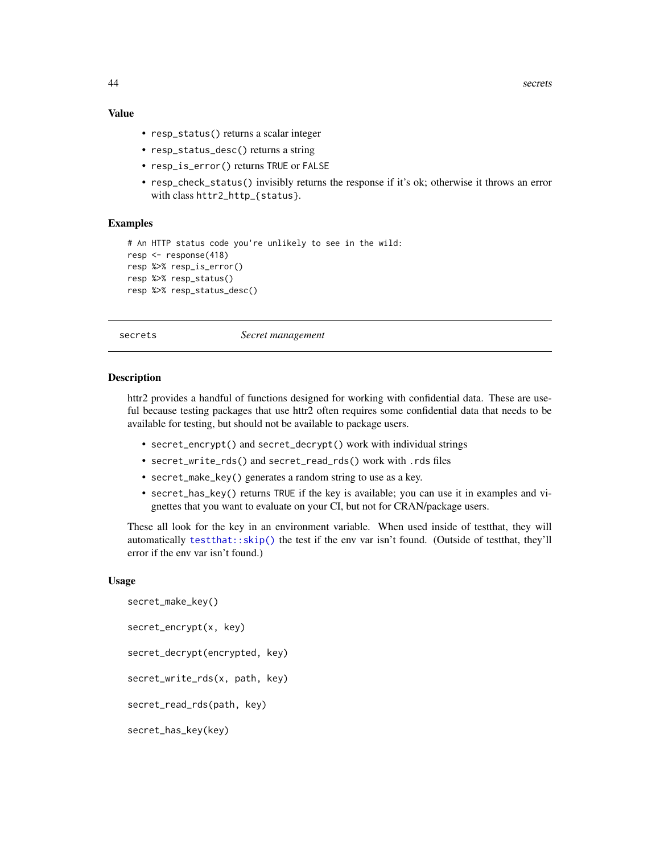# Value

- resp\_status() returns a scalar integer
- resp\_status\_desc() returns a string
- resp\_is\_error() returns TRUE or FALSE
- resp\_check\_status() invisibly returns the response if it's ok; otherwise it throws an error with class httr2\_http\_{status}.

# Examples

```
# An HTTP status code you're unlikely to see in the wild:
resp <- response(418)
resp %>% resp_is_error()
resp %>% resp_status()
resp %>% resp_status_desc()
```
secrets *Secret management*

#### Description

httr2 provides a handful of functions designed for working with confidential data. These are useful because testing packages that use httr2 often requires some confidential data that needs to be available for testing, but should not be available to package users.

- secret\_encrypt() and secret\_decrypt() work with individual strings
- secret\_write\_rds() and secret\_read\_rds() work with .rds files
- secret\_make\_key() generates a random string to use as a key.
- secret\_has\_key() returns TRUE if the key is available; you can use it in examples and vignettes that you want to evaluate on your CI, but not for CRAN/package users.

These all look for the key in an environment variable. When used inside of testthat, they will automatically [testthat::skip\(\)](#page-0-0) the test if the env var isn't found. (Outside of testthat, they'll error if the env var isn't found.)

#### Usage

```
secret_make_key()
secret_encrypt(x, key)
secret_decrypt(encrypted, key)
secret_write_rds(x, path, key)
secret_read_rds(path, key)
secret_has_key(key)
```
<span id="page-43-0"></span>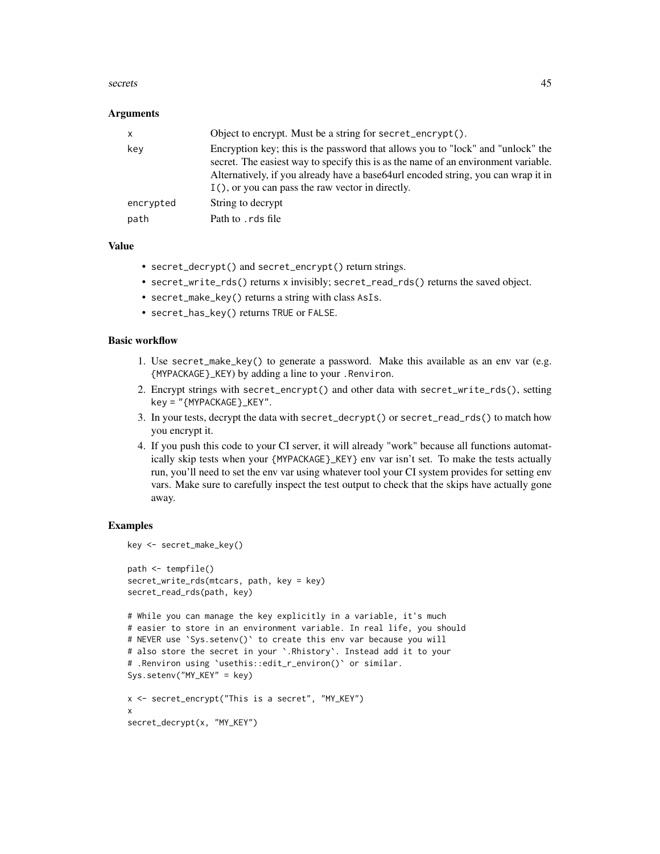#### secrets and the secrets of the secrets of the secrets of the secrets of the secrets of the secrets of the secrets of the secrets of the secrets of the secrets of the secrets of the secrets of the secrets of the secrets of

#### **Arguments**

| $\mathsf{x}$ | Object to encrypt. Must be a string for secret_encrypt().                                                                                                                                                                                                                                                        |
|--------------|------------------------------------------------------------------------------------------------------------------------------------------------------------------------------------------------------------------------------------------------------------------------------------------------------------------|
| kev          | Encryption key; this is the password that allows you to "lock" and "unlock" the<br>secret. The easiest way to specify this is as the name of an environment variable.<br>Alternatively, if you already have a base 64 url encoded string, you can wrap it in<br>I(), or you can pass the raw vector in directly. |
| encrypted    | String to decrypt                                                                                                                                                                                                                                                                                                |
| path         | Path to . rds file                                                                                                                                                                                                                                                                                               |

# Value

- secret\_decrypt() and secret\_encrypt() return strings.
- secret\_write\_rds() returns x invisibly; secret\_read\_rds() returns the saved object.
- secret\_make\_key() returns a string with class AsIs.
- secret\_has\_key() returns TRUE or FALSE.

#### Basic workflow

- 1. Use secret\_make\_key() to generate a password. Make this available as an env var (e.g. {MYPACKAGE}\_KEY) by adding a line to your .Renviron.
- 2. Encrypt strings with secret\_encrypt() and other data with secret\_write\_rds(), setting key = "{MYPACKAGE}\_KEY".
- 3. In your tests, decrypt the data with secret\_decrypt() or secret\_read\_rds() to match how you encrypt it.
- 4. If you push this code to your CI server, it will already "work" because all functions automatically skip tests when your {MYPACKAGE}\_KEY} env var isn't set. To make the tests actually run, you'll need to set the env var using whatever tool your CI system provides for setting env vars. Make sure to carefully inspect the test output to check that the skips have actually gone away.

```
key <- secret_make_key()
path <- tempfile()
secret_write_rds(mtcars, path, key = key)
secret_read_rds(path, key)
# While you can manage the key explicitly in a variable, it's much
# easier to store in an environment variable. In real life, you should
# NEVER use `Sys.setenv()` to create this env var because you will
# also store the secret in your `.Rhistory`. Instead add it to your
# .Renviron using `usethis::edit_r_environ()` or similar.
Sys.setenv("MY_KEY" = key)
x <- secret_encrypt("This is a secret", "MY_KEY")
x
secret_decrypt(x, "MY_KEY")
```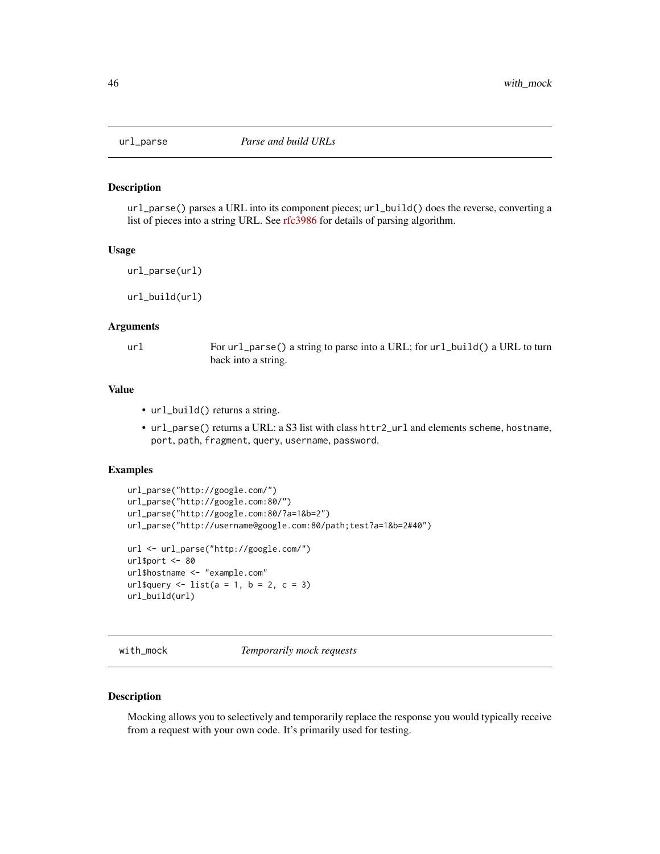<span id="page-45-0"></span>

url\_parse() parses a URL into its component pieces; url\_build() does the reverse, converting a list of pieces into a string URL. See [rfc3986](https://tools.ietf.org/html/rfc3986) for details of parsing algorithm.

#### Usage

```
url_parse(url)
```
url\_build(url)

#### Arguments

url For url\_parse() a string to parse into a URL; for url\_build() a URL to turn back into a string.

#### Value

- url\_build() returns a string.
- url\_parse() returns a URL: a S3 list with class httr2\_url and elements scheme, hostname, port, path, fragment, query, username, password.

#### Examples

```
url_parse("http://google.com/")
url_parse("http://google.com:80/")
url_parse("http://google.com:80/?a=1&b=2")
url_parse("http://username@google.com:80/path;test?a=1&b=2#40")
url <- url_parse("http://google.com/")
url$port <- 80
url$hostname <- "example.com"
url$query \le list(a = 1, b = 2, c = 3)
url_build(url)
```
<span id="page-45-1"></span>with\_mock *Temporarily mock requests*

#### Description

Mocking allows you to selectively and temporarily replace the response you would typically receive from a request with your own code. It's primarily used for testing.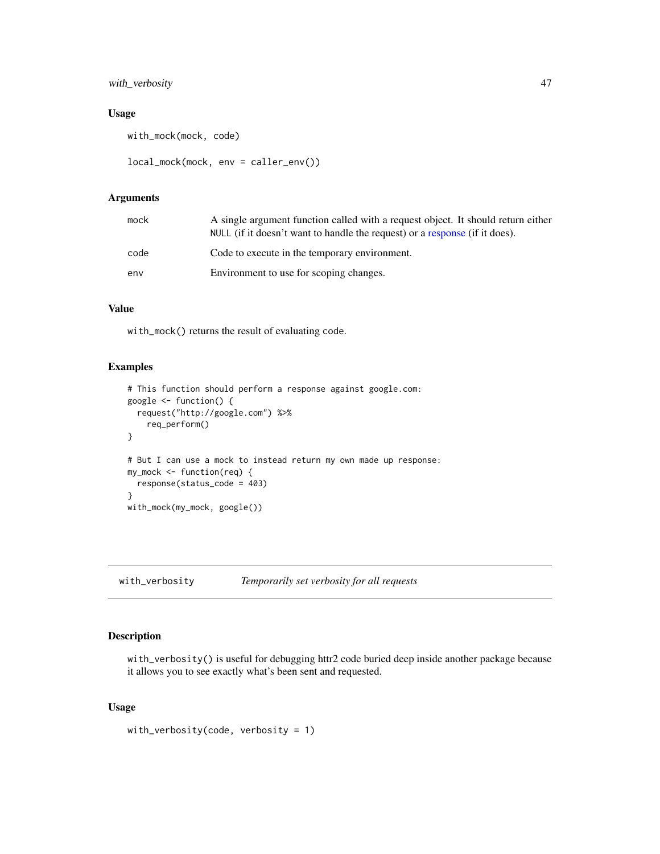# <span id="page-46-0"></span>with\_verbosity 47

# Usage

```
with_mock(mock, code)
```

```
local_mock(mock, env = caller_env())
```
# Arguments

| mock | A single argument function called with a request object. It should return either<br>NULL (if it doesn't want to handle the request) or a response (if it does). |
|------|-----------------------------------------------------------------------------------------------------------------------------------------------------------------|
| code | Code to execute in the temporary environment.                                                                                                                   |
| env  | Environment to use for scoping changes.                                                                                                                         |

# Value

with\_mock() returns the result of evaluating code.

# Examples

```
# This function should perform a response against google.com:
google <- function() {
  request("http://google.com") %>%
    req_perform()
}
# But I can use a mock to instead return my own made up response:
my_mock <- function(req) {
  response(status_code = 403)
}
with_mock(my_mock, google())
```
<span id="page-46-1"></span>with\_verbosity *Temporarily set verbosity for all requests*

# Description

with\_verbosity() is useful for debugging httr2 code buried deep inside another package because it allows you to see exactly what's been sent and requested.

# Usage

with\_verbosity(code, verbosity = 1)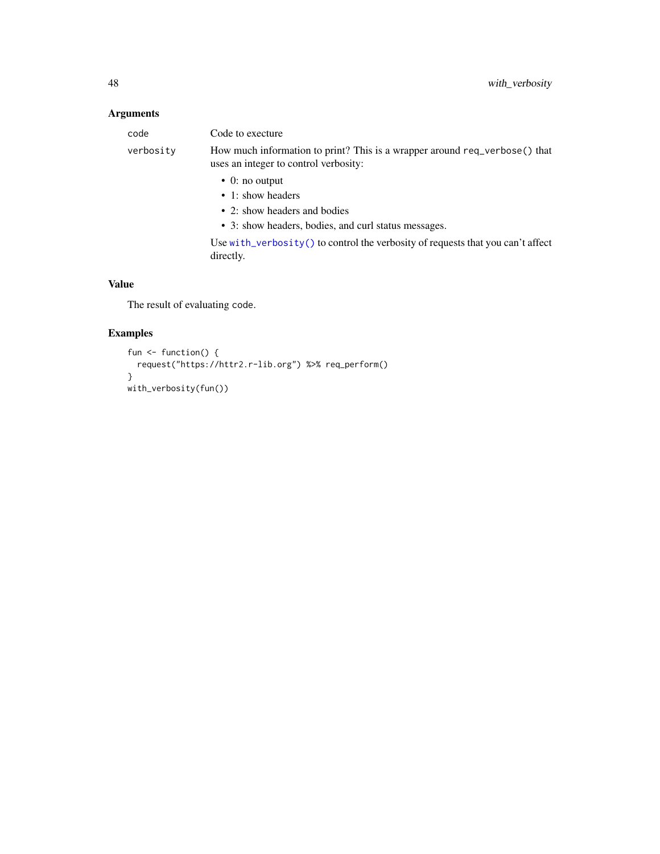# <span id="page-47-0"></span>Arguments

| code      | Code to execture                                                                                                    |
|-----------|---------------------------------------------------------------------------------------------------------------------|
| verbosity | How much information to print? This is a wrapper around req_verbose() that<br>uses an integer to control verbosity: |
|           | $\bullet$ 0: no output                                                                                              |
|           | • 1: show headers                                                                                                   |
|           | $\bullet$ 2: show headers and bodies                                                                                |
|           | • 3: show headers, bodies, and curl status messages.                                                                |
|           | Use with verbosity $()$ to control the verbosity of requests that you can't affect<br>directly.                     |
|           |                                                                                                                     |

# Value

The result of evaluating code.

```
fun <- function() {
  request("https://httr2.r-lib.org") %>% req_perform()
}
with_verbosity(fun())
```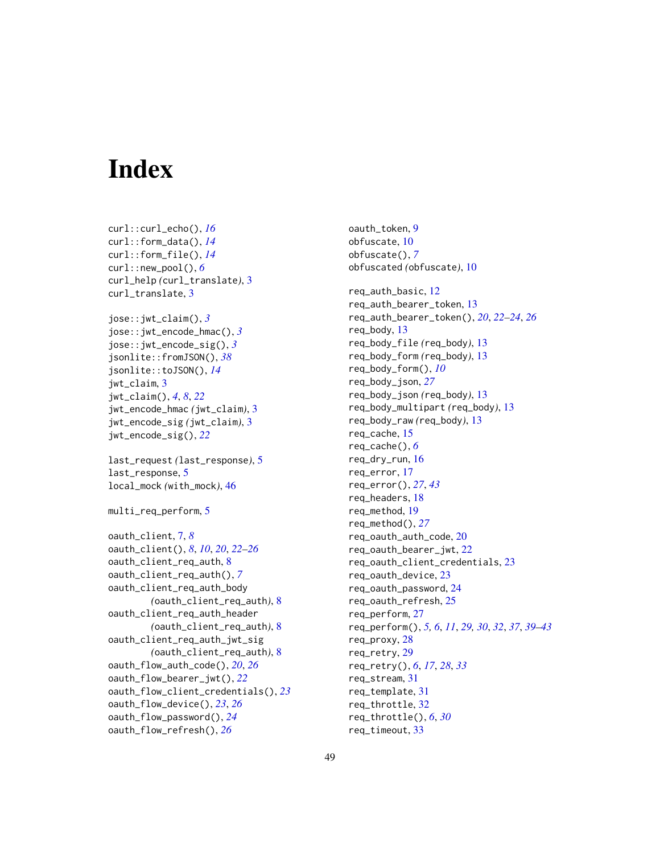# <span id="page-48-0"></span>**Index**

```
curl::curl_echo(), 16
curl::form_data(), 14
curl::form_file(), 14
curl::new_pool(), 6
curl_help (curl_translate), 3
curl_translate, 3
jose::jwt_claim(), 3
jose::jwt_encode_hmac(), 3
jose::jwt_encode_sig(), 3
jsonlite::fromJSON(), 38
jsonlite::toJSON(), 14
jwt_claim, 3
jwt_claim(), 4, 8, 22
jwt_encode_hmac (jwt_claim), 3
jwt_encode_sig (jwt_claim), 3
jwt_encode_sig(), 22
last_request (last_response), 5
last_response, 5
local_mock (with_mock), 46
multi_req_perform, 5
oauth_client, 7, 8
oauth_client(), 8, 10, 20, 22–26
oauth_client_req_auth, 8
oauth_client_req_auth(), 7
oauth_client_req_auth_body
        (oauth_client_req_auth), 8
oauth_client_req_auth_header
        (oauth_client_req_auth), 8
oauth_client_req_auth_jwt_sig
        (oauth_client_req_auth), 8
oauth_flow_auth_code(), 20, 26
oauth_flow_bearer_jwt(), 22
oauth_flow_client_credentials(), 23
oauth_flow_device(), 23, 26
oauth_flow_password(), 24
oauth_flow_refresh(), 26
```
oauth\_token, [9](#page-8-0) obfuscate, [10](#page-9-0) obfuscate(), *[7](#page-6-0)* obfuscated *(*obfuscate*)*, [10](#page-9-0) req\_auth\_basic, [12](#page-11-0) req\_auth\_bearer\_token, [13](#page-12-0) req\_auth\_bearer\_token(), *[20](#page-19-0)*, *[22](#page-21-0)[–24](#page-23-0)*, *[26](#page-25-0)* req\_body, [13](#page-12-0) req\_body\_file *(*req\_body*)*, [13](#page-12-0) req\_body\_form *(*req\_body*)*, [13](#page-12-0) req\_body\_form(), *[10](#page-9-0)* req\_body\_json, *[27](#page-26-0)* req\_body\_json *(*req\_body*)*, [13](#page-12-0) req\_body\_multipart *(*req\_body*)*, [13](#page-12-0) req\_body\_raw *(*req\_body*)*, [13](#page-12-0) req\_cache, [15](#page-14-0) req\_cache(), *[6](#page-5-0)* req\_dry\_run, [16](#page-15-0) req\_error, [17](#page-16-0) req\_error(), *[27](#page-26-0)*, *[43](#page-42-0)* req\_headers, [18](#page-17-0) req\_method, [19](#page-18-0) req\_method(), *[27](#page-26-0)* req\_oauth\_auth\_code, [20](#page-19-0) req\_oauth\_bearer\_jwt, [22](#page-21-0) req\_oauth\_client\_credentials, [23](#page-22-0) req\_oauth\_device, [23](#page-22-0) req\_oauth\_password, [24](#page-23-0) req\_oauth\_refresh, [25](#page-24-0) req\_perform, [27](#page-26-0) req\_perform(), *[5,](#page-4-0) [6](#page-5-0)*, *[11](#page-10-0)*, *[29,](#page-28-0) [30](#page-29-0)*, *[32](#page-31-0)*, *[37](#page-36-0)*, *[39](#page-38-0)[–43](#page-42-0)* req\_proxy, [28](#page-27-0) req\_retry, [29](#page-28-0) req\_retry(), *[6](#page-5-0)*, *[17](#page-16-0)*, *[28](#page-27-0)*, *[33](#page-32-0)* req\_stream, [31](#page-30-0) req\_template, [31](#page-30-0) req\_throttle, [32](#page-31-0) req\_throttle(), *[6](#page-5-0)*, *[30](#page-29-0)* req\_timeout, [33](#page-32-0)